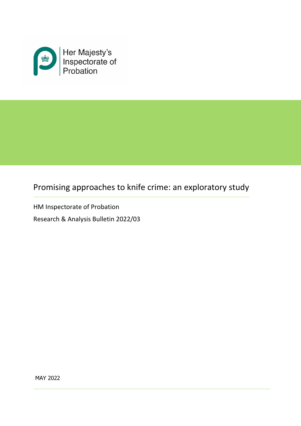

# Promising approaches to knife crime: an exploratory study

HM Inspectorate of Probation

Research & Analysis Bulletin 2022/03

MAY 2022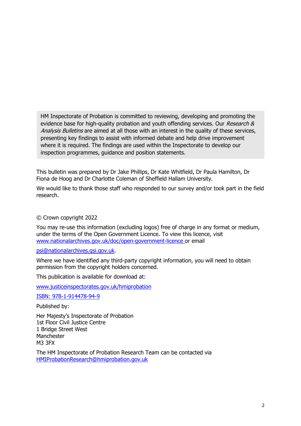HM Inspectorate of Probation is committed to reviewing, developing and promoting the evidence base for high-quality probation and youth offending services. Our Research & Analysis Bulletins are aimed at all those with an interest in the quality of these services, presenting key findings to assist with informed debate and help drive improvement where it is required. The findings are used within the Inspectorate to develop our inspection programmes, guidance and position statements.

This bulletin was prepared by Dr Jake Phillips, Dr Kate Whitfield, Dr Paula Hamilton, Dr Fiona de Hoog and Dr Charlotte Coleman of Sheffield Hallam University.

We would like to thank those staff who responded to our survey and/or took part in the field research.

### © Crown copyright 2022

You may re-use this information (excluding logos) free of charge in any format or medium, under the terms of the Open Government Licence. To view this licence, visit [www.nationalarchives.gov.uk/doc/open-government-licence](http://www.nationalarchives.gov.uk/doc/open-government-licence) or email

[psi@nationalarchives.gsi.gov.uk.](mailto:psi@nationalarchives.gsi.gov.uk)

Where we have identified any third-party copyright information, you will need to obtain permission from the copyright holders concerned.

This publication is available for download at:

[www.justiceinspectorates.gov.uk/hmiprobation](http://www.justiceinspectorates.gov.uk/hmiprobation)

ISBN: 978-1-914478-94-9

Published by:

Her Majesty's Inspectorate of Probation 1st Floor Civil Justice Centre 1 Bridge Street West Manchester M3 3FX

The HM Inspectorate of Probation Research Team can be contacted via [HMIProbationResearch@hmiprobation.gov.uk](mailto:HMIProbationResearch@hmiprobation.gov.uk)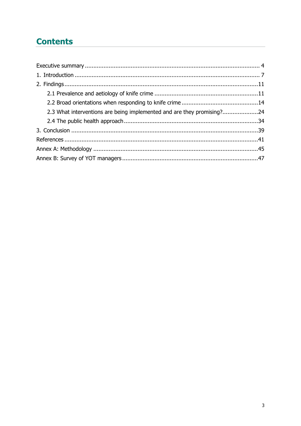# **Contents**

| 2.3 What interventions are being implemented and are they promising?24 |  |
|------------------------------------------------------------------------|--|
|                                                                        |  |
|                                                                        |  |
|                                                                        |  |
|                                                                        |  |
|                                                                        |  |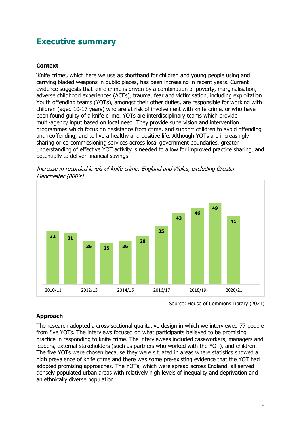# <span id="page-3-0"></span>**Executive summary**

### **Context**

'Knife crime', which here we use as shorthand for children and young people using and carrying bladed weapons in public places, has been increasing in recent years. Current evidence suggests that knife crime is driven by a combination of poverty, marginalisation, adverse childhood experiences (ACEs), trauma, fear and victimisation, including exploitation. Youth offending teams (YOTs), amongst their other duties, are responsible for working with children (aged 10-17 years) who are at risk of involvement with knife crime, or who have been found guilty of a knife crime. YOTs are interdisciplinary teams which provide multi-agency input based on local need. They provide supervision and intervention programmes which focus on desistance from crime, and support children to avoid offending and reoffending, and to live a healthy and positive life. Although YOTs are increasingly sharing or co-commissioning services across local government boundaries, greater understanding of effective YOT activity is needed to allow for improved practice sharing, and potentially to deliver financial savings.



Increase in recorded levels of knife crime: England and Wales, excluding Greater Manchester (000's)

Source: House of Commons Library (2021)

## **Approach**

The research adopted a cross-sectional qualitative design in which we interviewed 77 people from five YOTs. The interviews focused on what participants believed to be promising practice in responding to knife crime. The interviewees included caseworkers, managers and leaders, external stakeholders (such as partners who worked with the YOT), and children. The five YOTs were chosen because they were situated in areas where statistics showed a high prevalence of knife crime and there was some pre-existing evidence that the YOT had adopted promising approaches. The YOTs, which were spread across England, all served densely populated urban areas with relatively high levels of inequality and deprivation and an ethnically diverse population.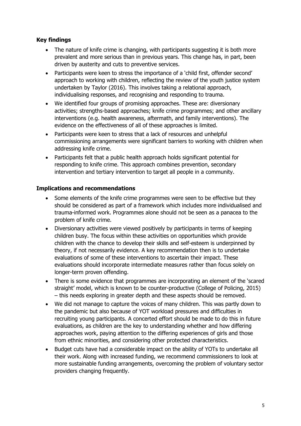## **Key findings**

- The nature of knife crime is changing, with participants suggesting it is both more prevalent and more serious than in previous years. This change has, in part, been driven by austerity and cuts to preventive services.
- Participants were keen to stress the importance of a 'child first, offender second' approach to working with children, reflecting the review of the youth justice system undertaken by Taylor (2016). This involves taking a relational approach, individualising responses, and recognising and responding to trauma.
- We identified four groups of promising approaches. These are: diversionary activities; strengths-based approaches; knife crime programmes; and other ancillary interventions (e.g. health awareness, aftermath, and family interventions). The evidence on the effectiveness of all of these approaches is limited.
- Participants were keen to stress that a lack of resources and unhelpful commissioning arrangements were significant barriers to working with children when addressing knife crime.
- Participants felt that a public health approach holds significant potential for responding to knife crime. This approach combines prevention, secondary intervention and tertiary intervention to target all people in a community.

## **Implications and recommendations**

- Some elements of the knife crime programmes were seen to be effective but they should be considered as part of a framework which includes more individualised and trauma-informed work. Programmes alone should not be seen as a panacea to the problem of knife crime.
- Diversionary activities were viewed positively by participants in terms of keeping children busy. The focus within these activities on opportunities which provide children with the chance to develop their skills and self-esteem is underpinned by theory, if not necessarily evidence. A key recommendation then is to undertake evaluations of some of these interventions to ascertain their impact. These evaluations should incorporate intermediate measures rather than focus solely on longer-term proven offending.
- There is some evidence that programmes are incorporating an element of the 'scared straight' model, which is known to be counter-productive (College of Policing, 2015) – this needs exploring in greater depth and these aspects should be removed.
- We did not manage to capture the voices of many children. This was partly down to the pandemic but also because of YOT workload pressures and difficulties in recruiting young participants. A concerted effort should be made to do this in future evaluations, as children are the key to understanding whether and how differing approaches work, paying attention to the differing experiences of girls and those from ethnic minorities, and considering other protected characteristics.
- Budget cuts have had a considerable impact on the ability of YOTs to undertake all their work. Along with increased funding, we recommend commissioners to look at more sustainable funding arrangements, overcoming the problem of voluntary sector providers changing frequently.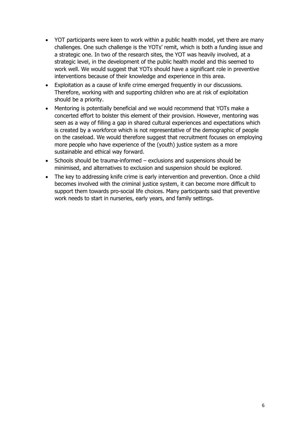- YOT participants were keen to work within a public health model, yet there are many challenges. One such challenge is the YOTs' remit, which is both a funding issue and a strategic one. In two of the research sites, the YOT was heavily involved, at a strategic level, in the development of the public health model and this seemed to work well. We would suggest that YOTs should have a significant role in preventive interventions because of their knowledge and experience in this area.
- Exploitation as a cause of knife crime emerged frequently in our discussions. Therefore, working with and supporting children who are at risk of exploitation should be a priority.
- Mentoring is potentially beneficial and we would recommend that YOTs make a concerted effort to bolster this element of their provision. However, mentoring was seen as a way of filling a gap in shared cultural experiences and expectations which is created by a workforce which is not representative of the demographic of people on the caseload. We would therefore suggest that recruitment focuses on employing more people who have experience of the (youth) justice system as a more sustainable and ethical way forward.
- Schools should be trauma-informed exclusions and suspensions should be minimised, and alternatives to exclusion and suspension should be explored.
- The key to addressing knife crime is early intervention and prevention. Once a child becomes involved with the criminal justice system, it can become more difficult to support them towards pro-social life choices. Many participants said that preventive work needs to start in nurseries, early years, and family settings.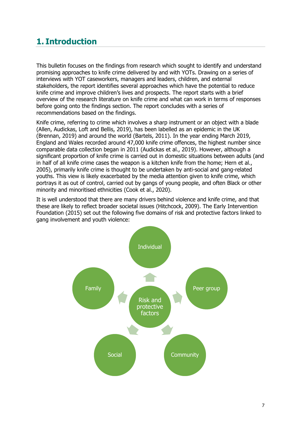# <span id="page-6-0"></span>**1. Introduction**

This bulletin focuses on the findings from research which sought to identify and understand promising approaches to knife crime delivered by and with YOTs. Drawing on a series of interviews with YOT caseworkers, managers and leaders, children, and external stakeholders, the report identifies several approaches which have the potential to reduce knife crime and improve children's lives and prospects. The report starts with a brief overview of the research literature on knife crime and what can work in terms of responses before going onto the findings section. The report concludes with a series of recommendations based on the findings.

Knife crime, referring to crime which involves a sharp instrument or an object with a blade (Allen, Audickas, Loft and Bellis, 2019), has been labelled as an epidemic in the UK (Brennan, 2019) and around the world (Bartels, 2011). In the year ending March 2019, England and Wales recorded around 47,000 knife crime offences, the highest number since comparable data collection began in 2011 (Audickas et al., 2019). However, although a significant proportion of knife crime is carried out in domestic situations between adults (and in half of all knife crime cases the weapon is a kitchen knife from the home; Hern et al., 2005), primarily knife crime is thought to be undertaken by anti-social and gang-related youths. This view is likely exacerbated by the media attention given to knife crime, which portrays it as out of control, carried out by gangs of young people, and often Black or other minority and minoritised ethnicities (Cook et al., 2020).

It is well understood that there are many drivers behind violence and knife crime, and that these are likely to reflect broader societal issues (Hitchcock, 2009). The Early Intervention Foundation (2015) set out the following five domains of risk and protective factors linked to gang involvement and youth violence:

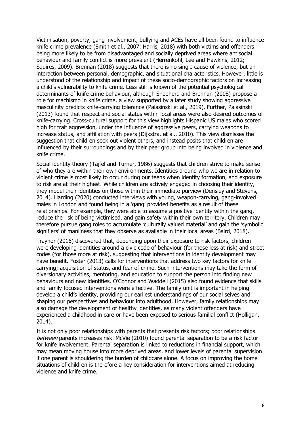Victimisation, poverty, gang involvement, bullying and ACEs have all been found to influence knife crime prevalence (Smith et al., 2007: Harris, 2018) with both victims and offenders being more likely to be from disadvantaged and socially deprived areas where antisocial behaviour and family conflict is more prevalent (Herrenkohl, Lee and Hawkins, 2012; Squires, 2009). Brennan (2018) suggests that there is no single cause of violence, but an interaction between personal, demographic, and situational characteristics. However, little is understood of the relationship and impact of these socio-demographic factors on increasing a child's vulnerability to knife crime. Less still is known of the potential psychological determinants of knife crime behaviour, although Shepherd and Brennan (2008) propose a role for machismo in knife crime, a view supported by a later study showing aggressive masculinity predicts knife-carrying tolerance (Palasinski et al., 2019). Further, Palasinski (2013) found that respect and social status within local areas were also desired outcomes of knife-carrying. Cross-cultural support for this view highlights Hispanic US males who scored high for trait aggression, under the influence of aggressive peers, carrying weapons to increase status, and affiliation with peers (Dijkstra, et al., 2010). This view dismisses the suggestion that children seek out violent others, and instead posits that children are influenced by their surroundings and by their peer group into being involved in violence and knife crime.

Social identity theory (Tajfel and Turner, 1986) suggests that children strive to make sense of who they are within their own environments. Identities around who we are in relation to violent crime is most likely to occur during our teens when identity formation, and exposure to risk are at their highest. While children are actively engaged in choosing their identity, they model their identities on those within their immediate purview (Densley and Stevens, 2014). Harding (2020) conducted interviews with young, weapon-carrying, gang-involved males in London and found being in a 'gang' provided benefits as a result of these relationships. For example, they were able to assume a positive identity within the gang, reduce the risk of being victimised, and gain safety within their own territory. Children may therefore pursue gang roles to accumulate 'culturally valued material' and gain the 'symbolic signifiers' of manliness that they observe as available in their local areas (Baird, 2018).

Traynor (2016) discovered that, depending upon their exposure to risk factors, children were developing identities around a civic code of behaviour (for those less at risk) and street codes (for those more at risk), suggesting that interventions in identity development may have benefit. Foster (2013) calls for interventions that address two key factors for knife carrying; acquisition of status, and fear of crime. Such interventions may take the form of diversionary activities, mentoring, and education to support the person into finding new behaviours and new identities. O'Connor and Waddell (2015) also found evidence that skills and family focused interventions were effective. The family unit is important in helping develop a child's identity, providing our earliest understandings of our social selves and shaping our perspectives and behaviour into adulthood. However, family relationships may also damage the development of healthy identities, as many violent offenders have experienced a childhood in care or have been exposed to serious familial conflict (Holligan, 2014).

It is not only poor relationships with parents that presents risk factors; poor relationships between parents increases risk. McVie (2010) found parental separation to be a risk factor for knife involvement. Parental separation is linked to reductions in financial support, which may mean moving house into more deprived areas, and lower levels of parental supervision if one parent is shouldering the burden of childcare alone. A focus on improving the home situations of children is therefore a key consideration for interventions aimed at reducing violence and knife crime.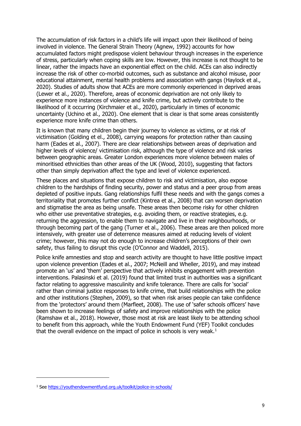The accumulation of risk factors in a child's life will impact upon their likelihood of being involved in violence. The General Strain Theory (Agnew, 1992) accounts for how accumulated factors might predispose violent behaviour through increases in the experience of stress, particularly when coping skills are low. However, this increase is not thought to be linear, rather the impacts have an exponential effect on the child. ACEs can also indirectly increase the risk of other co-morbid outcomes, such as substance and alcohol misuse, poor educational attainment, mental health problems and association with gangs (Haylock et al., 2020). Studies of adults show that ACEs are more commonly experienced in deprived areas (Lewer et al., 2020). Therefore, areas of economic deprivation are not only likely to experience more instances of violence and knife crime, but actively contribute to the likelihood of it occurring (Kirchmaier et al., 2020), particularly in times of economic uncertainty (Uchino et al., 2020). One element that is clear is that some areas consistently experience more knife crime than others.

It is known that many children begin their journey to violence as victims, or at risk of victimisation (Golding et el., 2008), carrying weapons for protection rather than causing harm (Eades et al., 2007). There are clear relationships between areas of deprivation and higher levels of violence/ victimisation risk, although the type of violence and risk varies between geographic areas. Greater London experiences more violence between males of minoritised ethnicities than other areas of the UK (Wood, 2010), suggesting that factors other than simply deprivation affect the type and level of violence experienced.

These places and situations that expose children to risk and victimisation, also expose children to the hardships of finding security, power and status and a peer group from areas depleted of positive inputs. Gang relationships fulfil these needs and with the gangs comes a territoriality that promotes further conflict (Kintrea et al., 2008) that can worsen deprivation and stigmatise the area as being unsafe. These areas then become risky for other children who either use preventative strategies, e.g. avoiding them, or reactive strategies, e.g. returning the aggression, to enable them to navigate and live in their neighbourhoods, or through becoming part of the gang (Turner et al., 2006). These areas are then policed more intensively, with greater use of deterrence measures aimed at reducing levels of violent crime; however, this may not do enough to increase children's perceptions of their own safety, thus failing to disrupt this cycle (O'Connor and Waddell, 2015).

Police knife amnesties and stop and search activity are thought to have little positive impact upon violence prevention (Eades et al., 2007; McNeill and Wheller, 2019), and may instead promote an 'us' and 'them' perspective that actively inhibits engagement with prevention interventions. Palasinski et al. (2019) found that limited trust in authorities was a significant factor relating to aggressive masculinity and knife tolerance. There are calls for 'social' rather than criminal justice responses to knife crime, that build relationships with the police and other institutions (Stephen, 2009), so that when risk arises people can take confidence from the 'protectors' around them (Marfleet, 2008). The use of 'safer schools officers' have been shown to increase feelings of safety and improve relationships with the police (Ramshaw et al., 2018). However, those most at risk are least likely to be attending school to benefit from this approach, while the Youth Endowment Fund (YEF) Toolkit concludes that the overall evidence on the impact of police in schools is very weak.<sup>[1](#page-8-0)</sup>

<span id="page-8-0"></span><sup>1</sup> See<https://youthendowmentfund.org.uk/toolkit/police-in-schools/>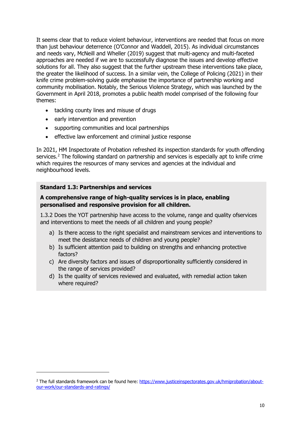It seems clear that to reduce violent behaviour, interventions are needed that focus on more than just behaviour deterrence (O'Connor and Waddell, 2015). As individual circumstances and needs vary, McNeill and Wheller (2019) suggest that multi-agency and multi-faceted approaches are needed if we are to successfully diagnose the issues and develop effective solutions for all. They also suggest that the further upstream these interventions take place, the greater the likelihood of success. In a similar vein, the College of Policing (2021) in their knife crime problem-solving guide emphasise the importance of partnership working and community mobilisation. Notably, the Serious Violence Strategy, which was launched by the Government in April 2018, promotes a public health model comprised of the following four themes:

- tackling county lines and misuse of drugs
- early intervention and prevention
- supporting communities and local partnerships
- effective law enforcement and criminal justice response

In 2021, HM Inspectorate of Probation refreshed its inspection standards for youth offending services. [2](#page-9-0) The following standard on partnership and services is especially apt to knife crime which requires the resources of many services and agencies at the individual and neighbourhood levels.

#### **Standard 1.3: Partnerships and services**

#### **A comprehensive range of high-quality services is in place, enabling personalised and responsive provision for all children.**

1.3.2 Does the YOT partnership have access to the volume, range and quality ofservices and interventions to meet the needs of all children and young people?

- a) Is there access to the right specialist and mainstream services and interventions to meet the desistance needs of children and young people?
- b) Is sufficient attention paid to building on strengths and enhancing protective factors?
- c) Are diversity factors and issues of disproportionality sufficiently considered in the range of services provided?
- d) Is the quality of services reviewed and evaluated, with remedial action taken where required?

<span id="page-9-0"></span><sup>&</sup>lt;sup>2</sup> The full standards framework can be found here: [https://www.justiceinspectorates.gov.uk/hmiprobation/about](https://www.justiceinspectorates.gov.uk/hmiprobation/about-our-work/our-standards-and-ratings/)[our-work/our-standards-and-ratings/](https://www.justiceinspectorates.gov.uk/hmiprobation/about-our-work/our-standards-and-ratings/)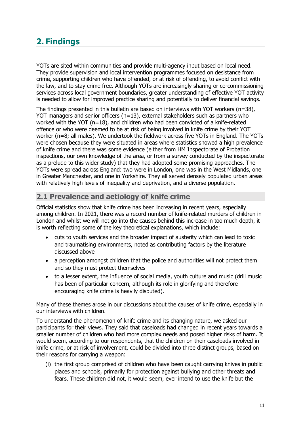# <span id="page-10-0"></span>**2. Findings**

YOTs are sited within communities and provide multi-agency input based on local need. They provide supervision and local intervention programmes focused on desistance from crime, supporting children who have offended, or at risk of offending, to avoid conflict with the law, and to stay crime free. Although YOTs are increasingly sharing or co-commissioning services across local government boundaries, greater understanding of effective YOT activity is needed to allow for improved practice sharing and potentially to deliver financial savings.

The findings presented in this bulletin are based on interviews with YOT workers  $(n=38)$ , YOT managers and senior officers (n=13), external stakeholders such as partners who worked with the YOT (n=18), and children who had been convicted of a knife-related offence or who were deemed to be at risk of being involved in knife crime by their YOT worker (n=8; all males). We undertook the fieldwork across five YOTs in England. The YOTs were chosen because they were situated in areas where statistics showed a high prevalence of knife crime and there was some evidence (either from HM Inspectorate of Probation inspections, our own knowledge of the area, or from a survey conducted by the inspectorate as a prelude to this wider study) that they had adopted some promising approaches. The YOTs were spread across England: two were in London, one was in the West Midlands, one in Greater Manchester, and one in Yorkshire. They all served densely populated urban areas with relatively high levels of inequality and deprivation, and a diverse population.

# <span id="page-10-1"></span>**2.1 Prevalence and aetiology of knife crime**

Official statistics show that knife crime has been increasing in recent years, especially among children. In 2021, there was a record number of knife-related murders of children in London and whilst we will not go into the causes behind this increase in too much depth, it is worth reflecting some of the key theoretical explanations, which include:

- cuts to youth services and the broader impact of austerity which can lead to toxic and traumatising environments, noted as contributing factors by the literature discussed above
- a perception amongst children that the police and authorities will not protect them and so they must protect themselves
- to a lesser extent, the influence of social media, youth culture and music (drill music has been of particular concern, although its role in glorifying and therefore encouraging knife crime is heavily disputed).

Many of these themes arose in our discussions about the causes of knife crime, especially in our interviews with children.

To understand the phenomenon of knife crime and its changing nature, we asked our participants for their views. They said that caseloads had changed in recent years towards a smaller number of children who had more complex needs and posed higher risks of harm. It would seem, according to our respondents, that the children on their caseloads involved in knife crime, or at risk of involvement, could be divided into three distinct groups, based on their reasons for carrying a weapon:

(i) the first group comprised of children who have been caught carrying knives in public places and schools, primarily for protection against bullying and other threats and fears. These children did not, it would seem, ever intend to use the knife but the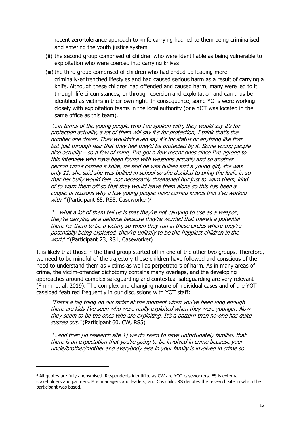recent zero-tolerance approach to knife carrying had led to them being criminalised and entering the youth justice system

- (ii) the second group comprised of children who were identifiable as being vulnerable to exploitation who were coerced into carrying knives
- (iii) the third group comprised of children who had ended up leading more criminally-entrenched lifestyles and had caused serious harm as a result of carrying a knife. Although these children had offended and caused harm, many were led to it through life circumstances, or through coercion and exploitation and can thus be identified as victims in their own right. In consequence, some YOTs were working closely with exploitation teams in the local authority (one YOT was located in the same office as this team).

"…in terms of the young people who I've spoken with, they would say it's for protection actually, a lot of them will say it's for protection, I think that's the number one driver. They wouldn't even say it's for status or anything like that but just through fear that they feel they'd be protected by it. Some young people also actually – so a few of mine, I've got a few recent ones since I've agreed to this interview who have been found with weapons actually and so another person who's carried a knife, he said he was bullied and a young girl, she was only 11, she said she was bullied in school so she decided to bring the knife in so that her bully would feel, not necessarily threatened but just to warn them, kind of to warn them off so that they would leave them alone so this has been a couple of reasons why a few young people have carried knives that I've worked with. " (Participant 65, RS5, Caseworker)<sup>[3](#page-11-0)</sup>

"… what a lot of them tell us is that they're not carrying to use as a weapon, they're carrying as a defence because they're worried that there's a potential there for them to be a victim, so when they run in these circles where they're potentially being exploited, they're unlikely to be the happiest children in the world." (Participant 23, RS1, Caseworker)

It is likely that those in the third group started off in one of the other two groups. Therefore, we need to be mindful of the trajectory these children have followed and conscious of the need to understand them as victims as well as perpetrators of harm. As in many areas of crime, the victim-offender dichotomy contains many overlaps, and the developing approaches around complex safeguarding and contextual safeguarding are very relevant (Firmin et al. 2019). The complex and changing nature of individual cases and of the YOT caseload featured frequently in our discussions with YOT staff:

"That's a big thing on our radar at the moment when you've been long enough there are kids I've seen who were really exploited when they were younger. Now they seem to be the ones who are exploiting. It's a pattern than no-one has quite sussed out." (Participant 60, CW, RS5)

"…and then [in research site 1] we do seem to have unfortunately familial, that there is an expectation that you're going to be involved in crime because your uncle/brother/mother and everybody else in your family is involved in crime so

<span id="page-11-0"></span><sup>&</sup>lt;sup>3</sup> All quotes are fully anonymised. Respondents identified as CW are YOT caseworkers, ES is external stakeholders and partners, M is managers and leaders, and C is child. RS denotes the research site in which the participant was based.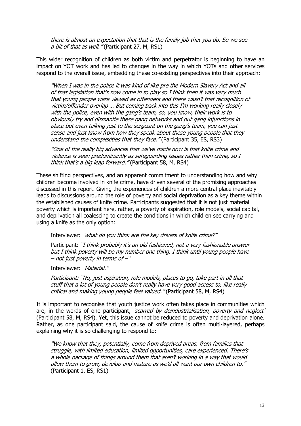there is almost an expectation that that is the family job that you do. So we see a bit of that as well." (Participant 27, M, RS1)

This wider recognition of children as both victim and perpetrator is beginning to have an impact on YOT work and has led to changes in the way in which YOTs and other services respond to the overall issue, embedding these co-existing perspectives into their approach:

"When I was in the police it was kind of like pre the Modern Slavery Act and all of that legislation that's now come in to play so I think then it was very much that young people were viewed as offenders and there wasn't that recognition of victim/offender overlap … But coming back into this I'm working really closely with the police, even with the gang's team, so, you know, their work is to obviously try and dismantle these gang networks and put gang injunctions in place but even talking just to the sergeant on the gang's team, you can just sense and just know from how they speak about these young people that they understand the complexities that they face." (Participant 35, ES, RS3)

"One of the really big advances that we've made now is that knife crime and violence is seen predominantly as safeguarding issues rather than crime, so I think that's a big leap forward." (Participant 58, M, RS4)

These shifting perspectives, and an apparent commitment to understanding how and why children become involved in knife crime, have driven several of the promising approaches discussed in this report. Giving the experiences of children a more central place inevitably leads to discussions around the role of poverty and social deprivation as a key theme within the established causes of knife crime. Participants suggested that it is not just material poverty which is important here, rather, a poverty of aspiration, role models, social capital, and deprivation all coalescing to create the conditions in which children see carrying and using a knife as the only option:

Interviewer: "what do you think are the key drivers of knife crime?"

Participant: "I think probably it's an old fashioned, not a very fashionable answer but I think poverty will be my number one thing. I think until young people have – not just poverty in terms of –"

Interviewer: "Material."

Participant: "No, just aspiration, role models, places to go, take part in all that stuff that a lot of young people don't really have very good access to, like really critical and making young people feel valued." (Participant 58, M, RS4)

It is important to recognise that youth justice work often takes place in communities which are, in the words of one participant, 'scarred by deindustrialisation, poverty and neglect' (Participant 58, M, RS4). Yet, this issue cannot be reduced to poverty and deprivation alone. Rather, as one participant said, the cause of knife crime is often multi-layered, perhaps explaining why it is so challenging to respond to:

"We know that they, potentially, come from deprived areas, from families that struggle, with limited education, limited opportunities, care experienced. There's a whole package of things around them that aren't working in a way that would allow them to grow, develop and mature as we'd all want our own children to." (Participant 1, ES, RS1)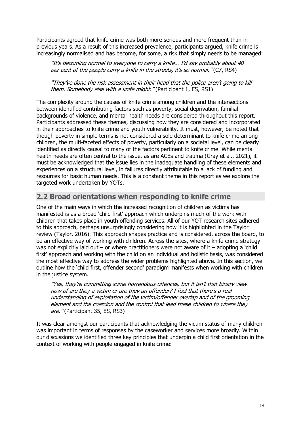Participants agreed that knife crime was both more serious and more frequent than in previous years. As a result of this increased prevalence, participants argued, knife crime is increasingly normalised and has become, for some, a risk that simply needs to be managed:

"It's becoming normal to everyone to carry a knife… I'd say probably about 40 per cent of the people carry a knife in the streets, it's so normal." (C7, RS4)

"They've done the risk assessment in their head that the police aren't going to kill them. Somebody else with a knife might." (Participant 1, ES, RS1)

The complexity around the causes of knife crime among children and the intersections between identified contributing factors such as poverty, social deprivation, familial backgrounds of violence, and mental health needs are considered throughout this report. Participants addressed these themes, discussing how they are considered and incorporated in their approaches to knife crime and youth vulnerability. It must, however, be noted that though poverty in simple terms is not considered a sole determinant to knife crime among children, the multi-faceted effects of poverty, particularly on a societal level, can be clearly identified as directly causal to many of the factors pertinent to knife crime. While mental health needs are often central to the issue, as are ACEs and trauma (Gray et al., 2021), it must be acknowledged that the issue lies in the inadequate handling of these elements and experiences on a structural level, in failures directly attributable to a lack of funding and resources for basic human needs. This is a constant theme in this report as we explore the targeted work undertaken by YOTs.

# <span id="page-13-0"></span>**2.2 Broad orientations when responding to knife crime**

One of the main ways in which the increased recognition of children as victims has manifested is as a broad 'child first' approach which underpins much of the work with children that takes place in youth offending services. All of our YOT research sites adhered to this approach, perhaps unsurprisingly considering how it is highlighted in the Taylor review (Taylor, 2016). This approach shapes practice and is considered, across the board, to be an effective way of working with children. Across the sites, where a knife crime strategy was not explicitly laid out – or where practitioners were not aware of it – adopting a 'child first' approach and working with the child on an individual and holistic basis, was considered the most effective way to address the wider problems highlighted above. In this section, we outline how the 'child first, offender second' paradigm manifests when working with children in the justice system.

"Yes, they're committing some horrendous offences, but it isn't that binary view now of are they a victim or are they an offender? I feel that there's a real understanding of exploitation of the victim/offender overlap and of the grooming element and the coercion and the control that lead these children to where they are." (Participant 35, ES, RS3)

It was clear amongst our participants that acknowledging the victim status of many children was important in terms of responses by the caseworker and services more broadly. Within our discussions we identified three key principles that underpin a child first orientation in the context of working with people engaged in knife crime: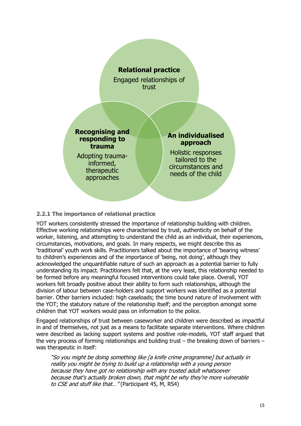

#### **2.2.1 The importance of relational practice**

YOT workers consistently stressed the importance of relationship building with children. Effective working relationships were characterised by trust, authenticity on behalf of the worker, listening, and attempting to understand the child as an individual, their experiences, circumstances, motivations, and goals. In many respects, we might describe this as 'traditional' youth work skills. Practitioners talked about the importance of 'bearing witness' to children's experiences and of the importance of 'being, not doing', although they acknowledged the unquantifiable nature of such an approach as a potential barrier to fully understanding its impact. Practitioners felt that, at the very least, this relationship needed to be formed before any meaningful focused interventions could take place. Overall, YOT workers felt broadly positive about their ability to form such relationships, although the division of labour between case-holders and support workers was identified as a potential barrier. Other barriers included: high caseloads; the time bound nature of involvement with the YOT; the statutory nature of the relationship itself; and the perception amongst some children that YOT workers would pass on information to the police.

Engaged relationships of trust between caseworker and children were described as impactful in and of themselves, not just as a means to facilitate separate interventions. Where children were described as lacking support systems and positive role-models, YOT staff argued that the verv process of forming relationships and building trust – the breaking down of barriers – was therapeutic in itself:

"So you might be doing something like [a knife crime programme] but actually in reality you might be trying to build up a relationship with a young person because they have got no relationship with any trusted adult whatsoever because that's actually broken down, that might be why they're more vulnerable to CSE and stuff like that..." (Participant 45, M, RS4)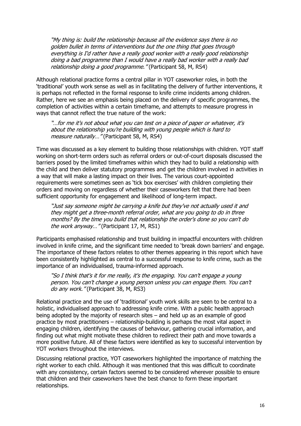"My thing is: build the relationship because all the evidence says there is no golden bullet in terms of interventions but the one thing that goes through everything is I'd rather have a really good worker with a really good relationship doing a bad programme than I would have a really bad worker with a really bad relationship doing a good programme." (Participant 58, M, RS4)

Although relational practice forms a central pillar in YOT caseworker roles, in both the 'traditional' youth work sense as well as in facilitating the delivery of further interventions, it is perhaps not reflected in the formal response to knife crime incidents among children. Rather, here we see an emphasis being placed on the delivery of specific programmes, the completion of activities within a certain timeframe, and attempts to measure progress in ways that cannot reflect the true nature of the work:

"…for me it's not about what you can test on a piece of paper or whatever, it's about the relationship you're building with young people which is hard to measure naturally..." (Participant 58, M, RS4)

Time was discussed as a key element to building those relationships with children. YOT staff working on short-term orders such as referral orders or out-of-court disposals discussed the barriers posed by the limited timeframes within which they had to build a relationship with the child and then deliver statutory programmes and get the children involved in activities in a way that will make a lasting impact on their lives. The various court-appointed requirements were sometimes seen as 'tick box exercises' with children completing their orders and moving on regardless of whether their caseworkers felt that there had been sufficient opportunity for engagement and likelihood of long-term impact.

"Just say someone might be carrying a knife but they've not actually used it and they might get a three-month referral order, what are you going to do in three months? By the time you build that relationship the order's done so you can't do the work anyway..." (Participant 17, M, RS1)

Participants emphasised relationship and trust building in impactful encounters with children involved in knife crime, and the significant time needed to 'break down barriers' and engage. The importance of these factors relates to other themes appearing in this report which have been consistently highlighted as central to a successful response to knife crime, such as the importance of an individualised, trauma-informed approach.

"So I think that's it for me really, it's the engaging. You can't engage a young person. You can't change a young person unless you can engage them. You can't do any work." (Participant 38, M, RS3)

Relational practice and the use of 'traditional' youth work skills are seen to be central to a holistic, individualised approach to addressing knife crime. With a public health approach being adopted by the majority of research sites – and held up as an example of good practice by most practitioners – relationship-building is perhaps the most vital aspect in engaging children, identifying the causes of behaviour, gathering crucial information, and finding out what might motivate these children to redirect their path and move towards a more positive future. All of these factors were identified as key to successful intervention by YOT workers throughout the interviews.

Discussing relational practice, YOT caseworkers highlighted the importance of matching the right worker to each child. Although it was mentioned that this was difficult to coordinate with any consistency, certain factors seemed to be considered wherever possible to ensure that children and their caseworkers have the best chance to form these important relationships.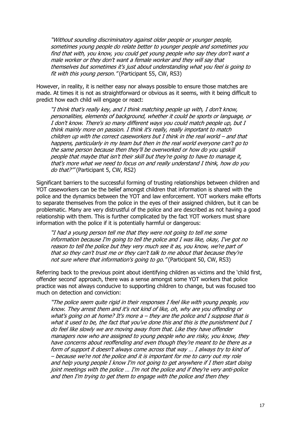"Without sounding discriminatory against older people or younger people, sometimes young people do relate better to younger people and sometimes you find that with, you know, you could get young people who say they don't want a male worker or they don't want a female worker and they will say that themselves but sometimes it's just about understanding what you feel is going to fit with this young person." (Participant 55, CW, RS3)

However, in reality, it is neither easy nor always possible to ensure those matches are made. At times it is not as straightforward or obvious as it seems, with it being difficult to predict how each child will engage or react:

"I think that's really key, and I think matching people up with, I don't know, personalities, elements of background, whether it could be sports or language, or I don't know. There's so many different ways you could match people up, but I think mainly more on passion. I think it's really, really important to match children up with the correct caseworkers but I think in the real world – and that happens, particularly in my team but then in the real world everyone can't go to the same person because then they'll be overworked or how do you upskill people that maybe that isn't their skill but they're going to have to manage it, that's more what we need to focus on and really understand I think, how do you do that?'" (Participant 5, CW, RS2)

Significant barriers to the successful forming of trusting relationships between children and YOT caseworkers can be the belief amongst children that information is shared with the police and the dynamics between the YOT and law enforcement. YOT workers make efforts to separate themselves from the police in the eyes of their assigned children, but it can be problematic. Many are very distrustful of the police and are described as not having a good relationship with them. This is further complicated by the fact YOT workers must share information with the police if it is potentially harmful or dangerous:

"I had a young person tell me that they were not going to tell me some information because I'm going to tell the police and I was like, okay, I've got no reason to tell the police but they very much see it as, you know, we're part of that so they can't trust me or they can't talk to me about that because they're not sure where that information's going to go." (Participant 50, CW, RS3)

Referring back to the previous point about identifying children as victims and the 'child first, offender second' approach, there was a sense amongst some YOT workers that police practice was not always conducive to supporting children to change, but was focused too much on detection and conviction:

"The police seem quite rigid in their responses I feel like with young people, you know. They arrest them and it's not kind of like, oh, why are you offending or what's going on at home? It's more a – they are the police and I suppose that is what it used to be, the fact that you've done this and this is the punishment but I do feel like slowly we are moving away from that. Like they have offender managers now who are assigned to young people who are risky, you know, they have concerns about reoffending and even though they're meant to be there as a form of support it doesn't always come across that way … I always try to kind of – because we're not the police and it is important for me to carry out my role and help young people I know I'm not going to get anywhere if I then start doing joint meetings with the police … I'm not the police and if they're very anti-police and then I'm trying to get them to engage with the police and then they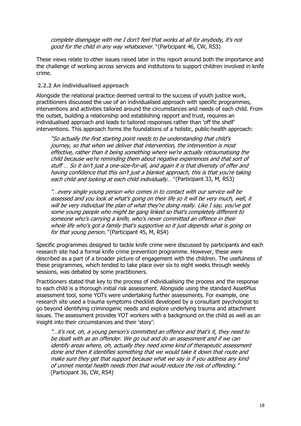complete disengage with me I don't feel that works at all for anybody, it's not good for the child in any way whatsoever." (Participant 46, CW, RS3)

These views relate to other issues raised later in this report around both the importance and the challenge of working across services and institutions to support children involved in knife crime.

#### **2.2.2 An individualised approach**

Alongside the relational practice deemed central to the success of youth justice work, practitioners discussed the use of an individualised approach with specific programmes, interventions and activities tailored around the circumstances and needs of each child. From the outset, building a relationship and establishing rapport and trust, requires an individualised approach and leads to tailored responses rather than 'off the shelf' interventions. This approach forms the foundations of a holistic, public-health approach:

"So actually the first starting point needs to be understanding that child's journey, so that when we deliver that intervention, the intervention is most effective, rather than it being something where we're actually retraumatising the child because we're reminding them about negative experiences and that sort of stuff … So it isn't just a one-size-for-all, and again it is that diversity of offer and having confidence that this isn't just a blanket approach, this is that you're taking each child and looking at each child individually..." (Participant 33, M, RS3)

"…every single young person who comes in to contact with our service will be assessed and you look at what's going on their life so it will be very much, well, it will be very individual the plan of what they're doing really. Like I say, you've got some young people who might be gang linked so that's completely different to someone who's carrying a knife, who's never committed an offence in their whole life who's got a family that's supportive so it just depends what is going on for that young person." (Participant 45, M, RS4)

Specific programmes designed to tackle knife crime were discussed by participants and each research site had a formal knife crime prevention programme. However, these were described as a part of a broader picture of engagement with the children. The usefulness of these programmes, which tended to take place over six to eight weeks through weekly sessions, was debated by some practitioners.

Practitioners stated that key to the process of individualising the process and the response to each child is a thorough initial risk assessment. Alongside using the standard AssetPlus assessment tool, some YOTs were undertaking further assessments. For example, one research site used a trauma symptoms checklist developed by a consultant psychologist to go beyond identifying criminogenic needs and explore underlying trauma and attachment issues. The assessment provides YOT workers with a background on the child as well as an insight into their circumstances and their 'story':

"…it's not, oh, a young person's committed an offence and that's it, they need to be dealt with as an offender. We go out and do an assessment and if we can identify areas where, oh, actually they need some kind of therapeutic assessment done and then it identifies something that we would take it down that route and make sure they get that support because what we say is if you address any kind of unmet mental health needs then that would reduce the risk of offending." (Participant 36, CW, RS4)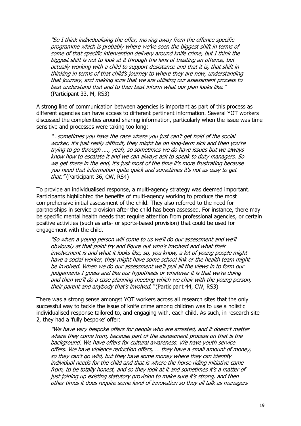"So I think individualising the offer, moving away from the offence specific programme which is probably where we've seen the biggest shift in terms of some of that specific intervention delivery around knife crime, but I think the biggest shift is not to look at it through the lens of treating an offence, but actually working with a child to support desistance and that it is, that shift in thinking in terms of that child's journey to where they are now, understanding that journey, and making sure that we are utilising our assessment process to best understand that and to then best inform what our plan looks like." (Participant 33, M, RS3)

A strong line of communication between agencies is important as part of this process as different agencies can have access to different pertinent information. Several YOT workers discussed the complexities around sharing information, particularly when the issue was time sensitive and processes were taking too long:

"…sometimes you have the case where you just can't get hold of the social worker, it's just really difficult, they might be on long-term sick and then you're trying to go through …., yeah, so sometimes we do have issues but we always know how to escalate it and we can always ask to speak to duty managers. So we get there in the end, it's just most of the time it's more frustrating because you need that information quite quick and sometimes it's not as easy to get that. " (Participant 36, CW, RS4)

To provide an individualised response, a multi-agency strategy was deemed important. Participants highlighted the benefits of multi-agency working to produce the most comprehensive initial assessment of the child. They also referred to the need for partnerships in service provision after the child has been assessed. For instance, there may be specific mental health needs that require attention from professional agencies, or certain positive activities (such as arts- or sports-based provision) that could be used for engagement with the child.

"So when a young person will come to us we'll do our assessment and we'll obviously at that point try and figure out who's involved and what their involvement is and what it looks like, so, you know, a lot of young people might have a social worker, they might have some school link or the health team might be involved. When we do our assessment we'll pull all the views in to form our judgements I guess and like our hypothesis or whatever it is that we're doing and then we'll do a case planning meeting which we chair with the young person, their parent and anybody that's involved." (Participant 44, CW, RS3)

There was a strong sense amongst YOT workers across all research sites that the only successful way to tackle the issue of knife crime among children was to use a holistic individualised response tailored to, and engaging with, each child. As such, in research site 2, they had a 'fully bespoke' offer:

"We have very bespoke offers for people who are arrested, and it doesn't matter where they come from, because part of the assessment process on that is the background. We have offers for cultural awareness. We have youth service offers. We have violence reduction offers, … they have a small amount of money, so they can't go wild, but they have some money where they can identify individual needs for the child and that is where the horse riding initiative came from, to be totally honest, and so they look at it and sometimes it's a matter of just joining up existing statutory provision to make sure it's strong, and then other times it does require some level of innovation so they all talk as managers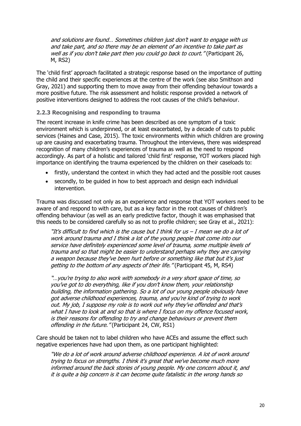and solutions are found… Sometimes children just don't want to engage with us and take part, and so there may be an element of an incentive to take part as well as if you don't take part then you could go back to court." (Participant 26, M, RS2)

The 'child first' approach facilitated a strategic response based on the importance of putting the child and their specific experiences at the centre of the work (see also Smithson and Gray, 2021) and supporting them to move away from their offending behaviour towards a more positive future. The risk assessment and holistic response provided a network of positive interventions designed to address the root causes of the child's behaviour.

#### **2.2.3 Recognising and responding to trauma**

The recent increase in knife crime has been described as one symptom of a toxic environment which is underpinned, or at least exacerbated, by a decade of cuts to public services (Haines and Case, 2015). The toxic environments within which children are growing up are causing and exacerbating trauma. Throughout the interviews, there was widespread recognition of many children's experiences of trauma as well as the need to respond accordingly. As part of a holistic and tailored 'child first' response, YOT workers placed high importance on identifying the trauma experienced by the children on their caseloads to:

- firstly, understand the context in which they had acted and the possible root causes
- secondly, to be guided in how to best approach and design each individual intervention.

Trauma was discussed not only as an experience and response that YOT workers need to be aware of and respond to with care, but as a key factor in the root causes of children's offending behaviour (as well as an early predictive factor, though it was emphasised that this needs to be considered carefully so as not to profile children; see Gray et al., 2021):

"It's difficult to find which is the cause but I think for us – I mean we do a lot of work around trauma and I think a lot of the young people that come into our service have definitely experienced some level of trauma, some multiple levels of trauma and so that might be easier to understand perhaps why they are carrying a weapon because they've been hurt before or something like that but it's just getting to the bottom of any aspects of their life. "(Participant 45, M, RS4)

"…you're trying to also work with somebody in a very short space of time, so you've got to do everything, like if you don't know them, your relationship building, the information gathering. So a lot of our young people obviously have got adverse childhood experiences, trauma, and you're kind of trying to work out. My job, I suppose my role is to work out why they've offended and that's what I have to look at and so that is where I focus on my offence focused work, is their reasons for offending to try and change behaviours or prevent them offending in the future." (Participant 24, CW, RS1)

Care should be taken not to label children who have ACEs and assume the effect such negative experiences have had upon them, as one participant highlighted:

"We do a lot of work around adverse childhood experience. A lot of work around trying to focus on strengths. I think it's great that we've become much more informed around the back stories of young people. My one concern about it, and it is quite a big concern is it can become quite fatalistic in the wrong hands so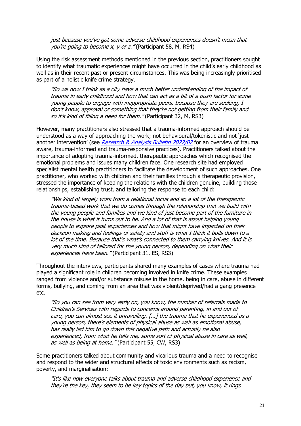just because you've got some adverse childhood experiences doesn't mean that you're going to become x, y or z." (Participant 58, M, RS4)

Using the risk assessment methods mentioned in the previous section, practitioners sought to identify what traumatic experiences might have occurred in the child's early childhood as well as in their recent past or present circumstances. This was being increasingly prioritised as part of a holistic knife crime strategy.

"So we now I think as a city have a much better understanding of the impact of trauma in early childhood and how that can act as a bit of a push factor for some young people to engage with inappropriate peers, because they are seeking, I don't know, approval or something that they're not getting from their family and so it's kind of filling a need for them." (Participant 32, M, RS3)

However, many practitioners also stressed that a trauma-informed approach should be understood as a way of approaching the work; not behavioural/tokenistic and not 'just another intervention' (see [Research & Analysis Bulletin 2022/02](https://www.justiceinspectorates.gov.uk/hmiprobation/wp-content/uploads/sites/5/2022/03/Working-with-trauma-in-adult-probation.pdf) for an overview of trauma aware, trauma-informed and trauma-responsive practices). Practitioners talked about the importance of adopting trauma-informed, therapeutic approaches which recognised the emotional problems and issues many children face. One research site had employed specialist mental health practitioners to facilitate the development of such approaches. One practitioner, who worked with children and their families through a therapeutic provision, stressed the importance of keeping the relations with the children genuine, building those relationships, establishing trust, and tailoring the response to each child:

"We kind of largely work from a relational focus and so a lot of the therapeutic trauma-based work that we do comes through the relationship that we build with the young people and families and we kind of just become part of the furniture in the house is what it turns out to be. And a lot of that is about helping young people to explore past experiences and how that might have impacted on their decision making and feelings of safety and stuff is what I think it boils down to a lot of the time. Because that's what's connected to them carrying knives. And it is very much kind of tailored for the young person, depending on what their experiences have been." (Participant 31, ES, RS3)

Throughout the interviews, participants shared many examples of cases where trauma had played a significant role in children becoming involved in knife crime. These examples ranged from violence and/or substance misuse in the home, being in care, abuse in different forms, bullying, and coming from an area that was violent/deprived/had a gang presence etc.

"So you can see from very early on, you know, the number of referrals made to Children's Services with regards to concerns around parenting, in and out of care, you can almost see it unravelling. […] the trauma that he experienced as a young person, there's elements of physical abuse as well as emotional abuse, has really led him to go down this negative path and actually he also experienced, from what he tells me, some sort of physical abuse in care as well, as well as being at home." (Participant 55, CW, RS3)

Some practitioners talked about community and vicarious trauma and a need to recognise and respond to the wider and structural effects of toxic environments such as racism, poverty, and marginalisation:

"It's like now everyone talks about trauma and adverse childhood experience and they're the key, they seem to be key topics of the day but, you know, it rings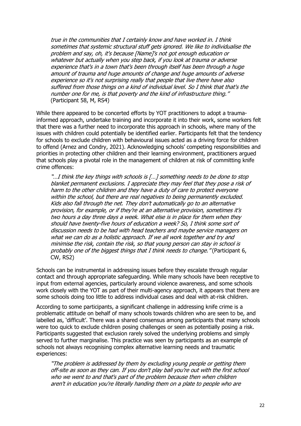true in the communities that I certainly know and have worked in. I think sometimes that systemic structural stuff gets ignored. We like to individualise the problem and say, oh, it's because [Name]'s not got enough education or whatever but actually when you step back, if you look at trauma or adverse experience that's in a town that's been through itself has been through a huge amount of trauma and huge amounts of change and huge amounts of adverse experience so it's not surprising really that people that live there have also suffered from those things on a kind of individual level. So I think that that's the number one for me, is that poverty and the kind of infrastructure thing." (Participant 58, M, RS4)

While there appeared to be concerted efforts by YOT practitioners to adopt a traumainformed approach, undertake training and incorporate it into their work, some workers felt that there was a further need to incorporate this approach in schools, where many of the issues with children could potentially be identified earlier. Participants felt that the tendency for schools to exclude children with behavioural issues acted as a driving force for children to offend (Arnez and Condry, 2021). Acknowledging schools' competing responsibilities and priorities in protecting other children and their learning environment, practitioners argued that schools play a pivotal role in the management of children at risk of committing knife crime offences:

"...I think the key things with schools is [...] something needs to be done to stop blanket permanent exclusions. I appreciate they may feel that they pose a risk of harm to the other children and they have a duty of care to protect everyone within the school, but there are real negatives to being permanently excluded. Kids also fall through the net. They don't automatically go to an alternative provision, for example, or if they're at an alternative provision, sometimes it's two hours a day three days a week. What else is in place for them when they should have twenty-five hours of education a week? So, I think some sort of discussion needs to be had with head teachers and maybe service managers on what we can do as a holistic approach. If we all work together and try and minimise the risk, contain the risk, so that young person can stay in school is probably one of the biggest things that I think needs to change." (Participant 6, CW, RS2)

Schools can be instrumental in addressing issues before they escalate through regular contact and through appropriate safeguarding. While many schools have been receptive to input from external agencies, particularly around violence awareness, and some schools work closely with the YOT as part of their multi-agency approach, it appears that there are some schools doing too little to address individual cases and deal with at-risk children.

According to some participants, a significant challenge in addressing knife crime is a problematic attitude on behalf of many schools towards children who are seen to be, and labelled as, 'difficult'. There was a shared consensus among participants that many schools were too quick to exclude children posing challenges or seen as potentially posing a risk. Participants suggested that exclusion rarely solved the underlying problems and simply served to further marginalise. This practice was seen by participants as an example of schools not always recognising complex alternative learning needs and traumatic experiences:

"The problem is addressed by them by excluding young people or getting them off-site as soon as they can. If you don't play ball you're out with the first school who we went to and that's part of the problem because then when children aren't in education you're literally handing them on a plate to people who are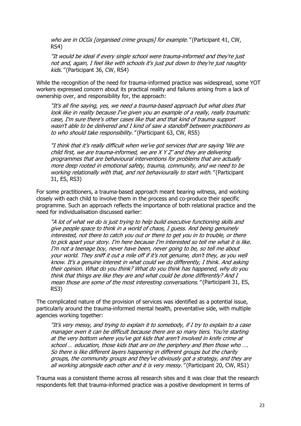who are in OCGs [organised crime groups] for example." (Participant 41, CW, RS4)

"It would be ideal if every single school were trauma-informed and they're just not and, again, I feel like with schools it's just put down to they're just naughty kids." (Participant 36, CW, RS4)

While the recognition of the need for trauma-informed practice was widespread, some YOT workers expressed concern about its practical reality and failures arising from a lack of ownership over, and responsibility for, the approach:

"It's all fine saying, yes, we need a trauma-based approach but what does that look like in reality because I've given you an example of a really, really traumatic case, I'm sure there's other cases like that and that kind of trauma support wasn't able to be delivered and I kind of saw a standoff between practitioners as to who should take responsibility." (Participant 63, CW, RS5)

"I think that it's really difficult when we've got services that are saying 'We are child first, we are trauma-informed, we are X Y Z' and they are delivering programmes that are behavioural interventions for problems that are actually more deep rooted in emotional safety, trauma, community, and we need to be working relationally with that, and not behaviourally to start with." (Participant 31, ES, RS3)

For some practitioners, a trauma-based approach meant bearing witness, and working closely with each child to involve them in the process and co-produce their specific programme. Such an approach reflects the importance of both relational practice and the need for individualisation discussed earlier:

"A lot of what we do is just trying to help build executive functioning skills and give people space to think in a world of chaos, I guess. And being genuinely interested, not there to catch you out or there to get you in to trouble, or there to pick apart your story. I'm here because I'm interested so tell me what it is like. I'm not a teenage boy, never have been, never going to be, so tell me about your world. They sniff it out a mile off if it's not genuine, don't they, as you well know. It's a genuine interest in what could we do differently, I think. And asking their opinion. What do you think? What do you think has happened, why do you think that things are like they are and what could be done differently? And I mean those are some of the most interesting conversations." (Participant 31, ES, RS3)

The complicated nature of the provision of services was identified as a potential issue, particularly around the trauma-informed mental health, preventative side, with multiple agencies working together:

"It's very messy, and trying to explain it to somebody, if I try to explain to a case manager even it can be difficult because there are so many tiers. You're starting at the very bottom where you've got kids that aren't involved in knife crime at school … education, those kids that are on the periphery and then those who …. So there is like different layers happening in different groups but the charity groups, the community groups and they've obviously got a strategy, and they are all working alongside each other and it is very messy. "(Participant 20, CW, RS1)

Trauma was a consistent theme across all research sites and it was clear that the research respondents felt that trauma-informed practice was a positive development in terms of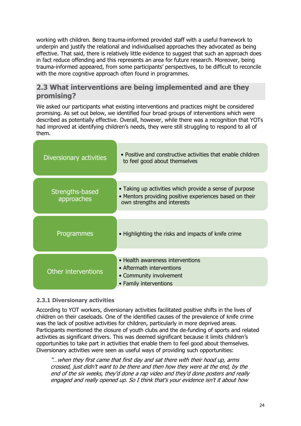working with children. Being trauma-informed provided staff with a useful framework to underpin and justify the relational and individualised approaches they advocated as being effective. That said, there is relatively little evidence to suggest that such an approach does in fact reduce offending and this represents an area for future research. Moreover, being trauma-informed appeared, from some participants' perspectives, to be difficult to reconcile with the more cognitive approach often found in programmes.

# <span id="page-23-0"></span>**2.3 What interventions are being implemented and are they promising?**

We asked our participants what existing interventions and practices might be considered promising. As set out below, we identified four broad groups of interventions which were described as potentially effective. Overall, however, while there was a recognition that YOTs had improved at identifying children's needs, they were still struggling to respond to all of them.

| Diversionary activities       | • Positive and constructive activities that enable children<br>to feel good about themselves                                                      |  |
|-------------------------------|---------------------------------------------------------------------------------------------------------------------------------------------------|--|
|                               |                                                                                                                                                   |  |
| Strengths-based<br>approaches | • Taking up activities which provide a sense of purpose<br>• Mentors providing positive experiences based on their<br>own strengths and interests |  |
|                               |                                                                                                                                                   |  |
| Programmes                    | • Highlighting the risks and impacts of knife crime                                                                                               |  |
|                               |                                                                                                                                                   |  |
| Other interventions           | • Health awareness interventions<br>• Aftermath interventions<br>• Community involvement<br>• Family interventions                                |  |

### **2.3.1 Diversionary activities**

According to YOT workers, diversionary activities facilitated positive shifts in the lives of children on their caseloads. One of the identified causes of the prevalence of knife crime was the lack of positive activities for children, particularly in more deprived areas. Participants mentioned the closure of youth clubs and the de-funding of sports and related activities as significant drivers. This was deemed significant because it limits children's opportunities to take part in activities that enable them to feel good about themselves. Diversionary activities were seen as useful ways of providing such opportunities:

"…when they first came that first day and sat there with their hood up, arms crossed, just didn't want to be there and then how they were at the end, by the end of the six weeks, they'd done a rap video and they'd done posters and really engaged and really opened up. So I think that's your evidence isn't it about how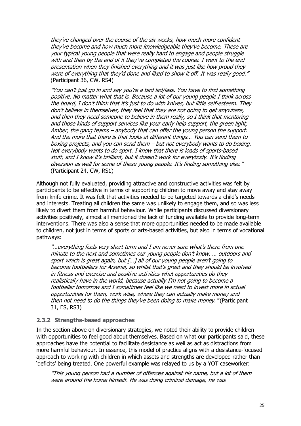they've changed over the course of the six weeks, how much more confident they've become and how much more knowledgeable they've become. These are your typical young people that were really hard to engage and people struggle with and then by the end of it they've completed the course. I went to the end presentation when they finished everything and it was just like how proud they were of everything that they'd done and liked to show it off. It was really good." (Participant 36, CW, RS4)

"You can't just go in and say you're a bad lad/lass. You have to find something positive. No matter what that is. Because a lot of our young people I think across the board, I don't think that it's just to do with knives, but little self-esteem. They don't believe in themselves, they feel that they are not going to get anywhere, and then they need someone to believe in them really, so I think that mentoring and those kinds of support services like your early help support, the green light, Amber, the gang teams – anybody that can offer the young person the support. And the more that there is that looks at different things… You can send them to boxing projects, and you can send them – but not everybody wants to do boxing. Not everybody wants to do sport. I know that there is loads of sports-based stuff, and I know it's brilliant, but it doesn't work for everybody. It's finding diversion as well for some of these young people. It's finding something else." (Participant 24, CW, RS1)

Although not fully evaluated, providing attractive and constructive activities was felt by participants to be effective in terms of supporting children to move away and stay away from knife crime. It was felt that activities needed to be targeted towards a child's needs and interests. Treating all children the same was unlikely to engage them, and so was less likely to divert them from harmful behaviour. While participants discussed diversionary activities positively, almost all mentioned the lack of funding available to provide long-term interventions. There was also a sense that more opportunities needed to be made available to children, not just in terms of sports or arts-based activities, but also in terms of vocational pathways:

"…everything feels very short term and I am never sure what's there from one minute to the next and sometimes our young people don't know. … outdoors and sport which is great again, but […] all of our young people aren't going to become footballers for Arsenal, so whilst that's great and they should be involved in fitness and exercise and positive activities what opportunities do they realistically have in the world, because actually I'm not going to become a footballer tomorrow and I sometimes feel like we need to invest more in actual opportunities for them, work wise, where they can actually make money and then not need to do the things they've been doing to make money." (Participant 31, ES, RS3)

#### **2.3.2 Strengths-based approaches**

In the section above on diversionary strategies, we noted their ability to provide children with opportunities to feel good about themselves. Based on what our participants said, these approaches have the potential to facilitate desistance as well as act as distractions from more harmful behaviour. In essence, this model of practice aligns with a desistance-focused approach to working with children in which assets and strengths are developed rather than 'deficits' being treated. One powerful example was relayed to us by a YOT caseworker:

"This young person had a number of offences against his name, but a lot of them were around the home himself. He was doing criminal damage, he was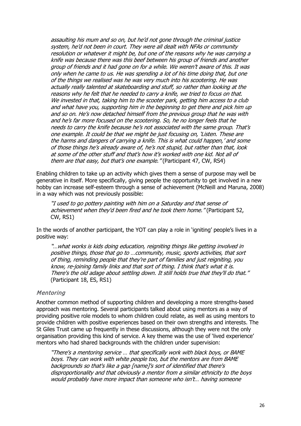assaulting his mum and so on, but he'd not gone through the criminal justice system, he'd not been in court. They were all dealt with NFAs or community resolution or whatever it might be, but one of the reasons why he was carrying a knife was because there was this beef between his group of friends and another group of friends and it had gone on for a while. We weren't aware of this. It was only when he came to us. He was spending a lot of his time doing that, but one of the things we realised was he was very much into his scootering. He was actually really talented at skateboarding and stuff, so rather than looking at the reasons why he felt that he needed to carry a knife, we tried to focus on that. We invested in that, taking him to the scooter park, getting him access to a club and what have you, supporting him in the beginning to get there and pick him up and so on. He's now detached himself from the previous group that he was with and he's far more focused on the scootering. So, he no longer feels that he needs to carry the knife because he's not associated with the same group. That's one example. It could be that we might be just focusing on, 'Listen. These are the harms and dangers of carrying a knife. This is what could happen,' and some of those things he's already aware of, he's not stupid, but rather than that, look at some of the other stuff and that's how it's worked with one kid. Not all of them are that easy, but that's one example." (Participant 47, CW, RS4)

Enabling children to take up an activity which gives them a sense of purpose may well be generative in itself. More specifically, giving people the opportunity to get involved in a new hobby can increase self-esteem through a sense of achievement (McNeill and Maruna, 2008) in a way which was not previously possible:

"I used to go pottery painting with him on a Saturday and that sense of achievement when they'd been fired and he took them home." (Participant 52, CW, RS1)

In the words of another participant, the YOT can play a role in 'igniting' people's lives in a positive way:

"…what works is kids doing education, reigniting things like getting involved in positive things, those that go to …community, music, sports activities, that sort of thing, reminding people that they're part of families and just reigniting, you know, re-joining family links and that sort of thing. I think that's what it is. There's the old adage about settling down. It still holds true that they'll do that." (Participant 18, ES, RS1)

#### Mentoring

Another common method of supporting children and developing a more strengths-based approach was mentoring. Several participants talked about using mentors as a way of providing positive role models to whom children could relate, as well as using mentors to provide children with positive experiences based on their own strengths and interests. The St Giles Trust came up frequently in these discussions, although they were not the only organisation providing this kind of service. A key theme was the use of 'lived experience' mentors who had shared backgrounds with the children under supervision:

"There's a mentoring service … that specifically work with black boys, or BAME boys. They can work with white people too, but the mentors are from BAME backgrounds so that's like a gap [name]'s sort of identified that there's disproportionality and that obviously a mentor from a similar ethnicity to the boys would probably have more impact than someone who isn't… having someone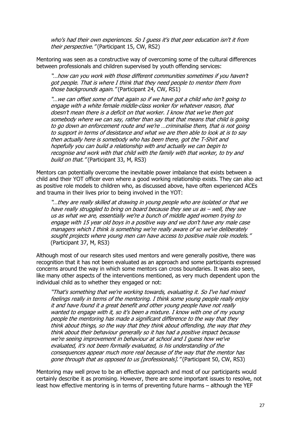who's had their own experiences. So I guess it's that peer education isn't it from their perspective." (Participant 15, CW, RS2)

Mentoring was seen as a constructive way of overcoming some of the cultural differences between professionals and children supervised by youth offending services:

"…how can you work with those different communities sometimes if you haven't got people. That is where I think that they need people to mentor them from those backgrounds again." (Participant 24, CW, RS1)

"…we can offset some of that again so if we have got a child who isn't going to engage with a white female middle-class worker for whatever reason, that doesn't mean there is a deficit on that worker. I know that we've then got somebody where we can say, rather than say that that means that child is going to go down an enforcement route and we're …criminalise them, that is not going to support in terms of desistance and what we are then able to look at is to say then actually here is somebody who has been there, got the T-Shirt and hopefully you can build a relationship with and actually we can begin to recognise and work with that child with the family with that worker, to try and build on that. " (Participant 33, M, RS3)

Mentors can potentially overcome the inevitable power imbalance that exists between a child and their YOT officer even where a good working relationship exists. They can also act as positive role models to children who, as discussed above, have often experienced ACEs and trauma in their lives prior to being involved in the YOT:

"…they are really skilled at drawing in young people who are isolated or that we have really struggled to bring on board because they see us as – well, they see us as what we are, essentially we're a bunch of middle aged women trying to engage with 15 year old boys in a positive way and we don't have any male case managers which I think is something we're really aware of so we've deliberately sought projects where young men can have access to positive male role models." (Participant 37, M, RS3)

Although most of our research sites used mentors and were generally positive, there was recognition that it has not been evaluated as an approach and some participants expressed concerns around the way in which some mentors can cross boundaries. It was also seen, like many other aspects of the interventions mentioned, as very much dependent upon the individual child as to whether they engaged or not:

"That's something that we're working towards, evaluating it. So I've had mixed feelings really in terms of the mentoring. I think some young people really enjoy it and have found it a great benefit and other young people have not really wanted to engage with it, so it's been a mixture. I know with one of my young people the mentoring has made a significant difference to the way that they think about things, so the way that they think about offending, the way that they think about their behaviour generally so it has had a positive impact because we're seeing improvement in behaviour at school and I guess how we've evaluated, it's not been formally evaluated, is his understanding of the consequences appear much more real because of the way that the mentor has gone through that as opposed to us [professionals]. "(Participant 50, CW, RS3)

Mentoring may well prove to be an effective approach and most of our participants would certainly describe it as promising. However, there are some important issues to resolve, not least how effective mentoring is in terms of preventing future harms – although the YEF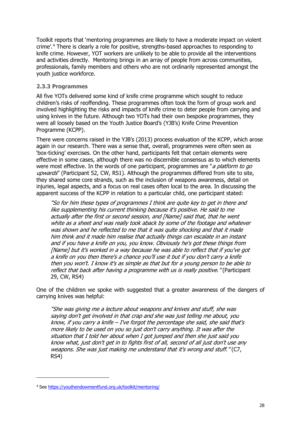Toolkit reports that 'mentoring programmes are likely to have a moderate impact on violent crime'. [4](#page-27-0) There is clearly a role for positive, strengths-based approaches to responding to knife crime. However, YOT workers are unlikely to be able to provide all the interventions and activities directly. Mentoring brings in an array of people from across communities, professionals, family members and others who are not ordinarily represented amongst the youth justice workforce.

### **2.3.3 Programmes**

All five YOTs delivered some kind of knife crime programme which sought to reduce children's risks of reoffending. These programmes often took the form of group work and involved highlighting the risks and impacts of knife crime to deter people from carrying and using knives in the future. Although two YOTs had their own bespoke programmes, they were all loosely based on the Youth Justice Board's (YJB's) Knife Crime Prevention Programme (KCPP).

There were concerns raised in the YJB's (2013) process evaluation of the KCPP, which arose again in our research. There was a sense that, overall, programmes were often seen as 'box-ticking' exercises. On the other hand, participants felt that certain elements were effective in some cases, although there was no discernible consensus as to which elements were most effective. In the words of one participant, programmes are "*a platform to go* upwards" (Participant 52, CW, RS1). Although the programmes differed from site to site, they shared some core strands, such as the inclusion of weapons awareness, detail on injuries, legal aspects, and a focus on real cases often local to the area. In discussing the apparent success of the KCPP in relation to a particular child, one participant stated:

"So for him these types of programmes I think are quite key to get in there and like supplementing his current thinking because it's positive. He said to me actually after the first or second session, and [Name] said that, that he went white as a sheet and was really took aback by some of the footage and whatever was shown and he reflected to me that it was quite shocking and that it made him think and it made him realise that actually things can escalate in an instant and if you have a knife on you, you know. Obviously he's got these things from [Name] but it's worked in a way because he was able to reflect that if you've got a knife on you then there's a chance you'll use it but if you don't carry a knife then you won't. I know it's as simple as that but for a young person to be able to reflect that back after having a programme with us is really positive." (Participant 29, CW, RS4)

One of the children we spoke with suggested that a greater awareness of the dangers of carrying knives was helpful:

"She was giving me a lecture about weapons and knives and stuff, she was saying don't get involved in that crap and she was just telling me about, you know, if you carry a knife  $-I$ 've forgot the percentage she said, she said that's more likely to be used on you so just don't carry anything. It was after the situation that I told her about when I got jumped and then she just said you know what, just don't get in to fights first of all, second of all just don't use any weapons. She was just making me understand that it's wrong and stuff." (C7, RS4)

<span id="page-27-0"></span><sup>4</sup> See<https://youthendowmentfund.org.uk/toolkit/mentoring/>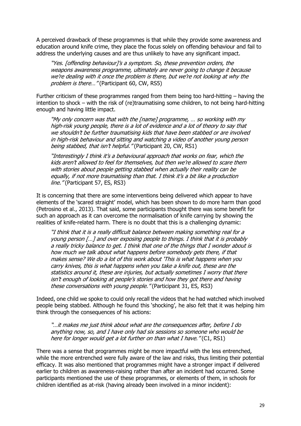A perceived drawback of these programmes is that while they provide some awareness and education around knife crime, they place the focus solely on offending behaviour and fail to address the underlying causes and are thus unlikely to have any significant impact.

"Yes. [offending behaviour]'s a symptom. So, these prevention orders, the weapons awareness programme, ultimately are never going to change it because we're dealing with it once the problem is there, but we're not looking at why the problem is there..." (Participant 60, CW, RS5)

Further criticism of these programmes ranged from them being too hard-hitting – having the intention to shock – with the risk of (re)traumatising some children, to not being hard-hitting enough and having little impact.

"My only concern was that with the [name] programme, … so working with my high-risk young people, there is a lot of evidence and a lot of theory to say that we shouldn't be further traumatising kids that have been stabbed or are involved in high-risk behaviour and sitting and watching a video of another young person being stabbed, that isn't helpful." (Participant 20, CW, RS1)

"Interestingly I think it's a behavioural approach that works on fear, which the kids aren't allowed to feel for themselves, but then we're allowed to scare them with stories about people getting stabbed when actually their reality can be equally, if not more traumatising than that. I think it's a bit like a production line." (Participant 57, ES, RS3)

It is concerning that there are some interventions being delivered which appear to have elements of the 'scared straight' model, which has been shown to do more harm than good (Petrosino et al., 2013). That said, some participants thought there was some benefit for such an approach as it can overcome the normalisation of knife carrying by showing the realities of knife-related harm. There is no doubt that this is a challenging dynamic:

"I think that it is a really difficult balance between making something real for a young person […] and over exposing people to things. I think that it is probably a really tricky balance to get. I think that one of the things that I wonder about is how much we talk about what happens before somebody gets there, if that makes sense? We do a lot of this work about 'This is what happens when you carry knives, this is what happens when you take a knife out, these are the statistics around it, these are injuries, but actually sometimes I worry that there isn't enough of looking at people's stories and how they got there and having these conversations with young people. "(Participant 31, ES, RS3)

Indeed, one child we spoke to could only recall the videos that he had watched which involved people being stabbed. Although he found this 'shocking', he also felt that it was helping him think through the consequences of his actions:

"…it makes me just think about what are the consequences after, before I do anything now, so, and I have only had six sessions so someone who would be here for longer would get a lot further on than what I have." (C1, RS1)

There was a sense that programmes might be more impactful with the less entrenched, while the more entrenched were fully aware of the law and risks, thus limiting their potential efficacy. It was also mentioned that programmes might have a stronger impact if delivered earlier to children as awareness-raising rather than after an incident had occurred. Some participants mentioned the use of these programmes, or elements of them, in schools for children identified as at-risk (having already been involved in a minor incident):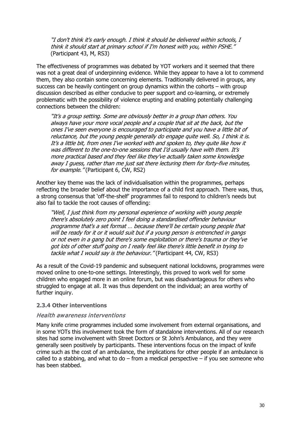"I don't think it's early enough. I think it should be delivered within schools, I think it should start at primary school if I'm honest with you, within PSHE." (Participant 43, M, RS3)

The effectiveness of programmes was debated by YOT workers and it seemed that there was not a great deal of underpinning evidence. While they appear to have a lot to commend them, they also contain some concerning elements. Traditionally delivered in groups, any success can be heavily contingent on group dynamics within the cohorts – with group discussion described as either conducive to peer support and co-learning, or extremely problematic with the possibility of violence erupting and enabling potentially challenging connections between the children:

"It's a group setting. Some are obviously better in a group than others. You always have your more vocal people and a couple that sit at the back, but the ones I've seen everyone is encouraged to participate and you have a little bit of reluctance, but the young people generally do engage quite well. So, I think it is. It's a little bit, from ones I've worked with and spoken to, they quite like how it was different to the one-to-one sessions that I'd usually have with them. It's more practical based and they feel like they've actually taken some knowledge away I guess, rather than me just sat there lecturing them for forty-five minutes, for example." (Participant 6, CW, RS2)

Another key theme was the lack of individualisation within the programmes, perhaps reflecting the broader belief about the importance of a child first approach. There was, thus, a strong consensus that 'off-the-shelf' programmes fail to respond to children's needs but also fail to tackle the root causes of offending:

"Well, I just think from my personal experience of working with young people there's absolutely zero point I feel doing a standardised offender behaviour programme that's a set format … because there'll be certain young people that will be ready for it or it would suit but if a young person is entrenched in gangs or not even in a gang but there's some exploitation or there's trauma or they've got lots of other stuff going on I really feel like there's little benefit in trying to tackle what I would say is the behaviour." (Participant 44, CW, RS3)

As a result of the Covid-19 pandemic and subsequent national lockdowns, programmes were moved online to one-to-one settings. Interestingly, this proved to work well for some children who engaged more in an online forum, but was disadvantageous for others who struggled to engage at all. It was thus dependent on the individual; an area worthy of further inquiry.

#### **2.3.4 Other interventions**

#### Health awareness interventions

Many knife crime programmes included some involvement from external organisations, and in some YOTs this involvement took the form of standalone interventions. All of our research sites had some involvement with Street Doctors or St John's Ambulance, and they were generally seen positively by participants. These interventions focus on the impact of knife crime such as the cost of an ambulance, the implications for other people if an ambulance is called to a stabbing, and what to do  $-$  from a medical perspective  $-$  if you see someone who has been stabbed.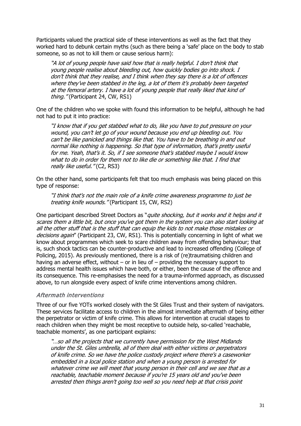Participants valued the practical side of these interventions as well as the fact that they worked hard to debunk certain myths (such as there being a 'safe' place on the body to stab someone, so as not to kill them or cause serious harm):

"A lot of young people have said how that is really helpful. I don't think that young people realise about bleeding out, how quickly bodies go into shock. I don't think that they realise, and I think when they say there is a lot of offences where they've been stabbed in the leg, a lot of them it's probably been targeted at the femoral artery. I have a lot of young people that really liked that kind of thing." (Participant 24, CW, RS1)

One of the children who we spoke with found this information to be helpful, although he had not had to put it into practice:

"I know that if you get stabbed what to do, like you have to put pressure on your wound, you can't let go of your wound because you end up bleeding out. You can't be like panicked and things like that. You have to be breathing in and out normal like nothing is happening. So that type of information, that's pretty useful for me. Yeah, that's it. So, if I see someone that's stabbed maybe I would know what to do in order for them not to like die or something like that. I find that really like useful." (C2, RS3)

On the other hand, some participants felt that too much emphasis was being placed on this type of response:

"I think that's not the main role of a knife crime awareness programme to just be treating knife wounds." (Participant 15, CW, RS2)

One participant described Street Doctors as "*quite shocking, but it works and it helps and it* scares them a little bit, but once you've got them in the system you can also start looking at all the other stuff that is the stuff that can equip the kids to not make those mistakes or decisions again" (Participant 23, CW, RS1). This is potentially concerning in light of what we know about programmes which seek to scare children away from offending behaviour; that is, such shock tactics can be counter-productive and lead to increased offending (College of Policing, 2015). As previously mentioned, there is a risk of (re)traumatising children and having an adverse effect, without  $-$  or in lieu of  $-$  providing the necessary support to address mental health issues which have both, or either, been the cause of the offence and its consequence. This re-emphasises the need for a trauma-informed approach, as discussed above, to run alongside every aspect of knife crime interventions among children.

#### Aftermath interventions

Three of our five YOTs worked closely with the St Giles Trust and their system of navigators. These services facilitate access to children in the almost immediate aftermath of being either the perpetrator or victim of knife crime. This allows for intervention at crucial stages to reach children when they might be most receptive to outside help, so-called 'reachable, teachable moments', as one participant explains:

"…so all the projects that we currently have permission for the West Midlands under the St. Giles umbrella, all of them deal with either victims or perpetrators of knife crime. So we have the police custody project where there's a caseworker embedded in a local police station and when a young person is arrested for whatever crime we will meet that young person in their cell and we see that as a reachable, teachable moment because if you're 15 years old and you've been arrested then things aren't going too well so you need help at that crisis point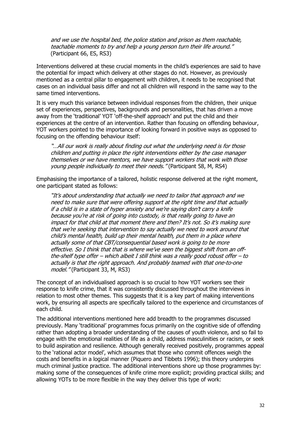and we use the hospital bed, the police station and prison as them reachable, teachable moments to try and help a young person turn their life around." (Participant 66, ES, RS3)

Interventions delivered at these crucial moments in the child's experiences are said to have the potential for impact which delivery at other stages do not. However, as previously mentioned as a central pillar to engagement with children, it needs to be recognised that cases on an individual basis differ and not all children will respond in the same way to the same timed interventions.

It is very much this variance between individual responses from the children, their unique set of experiences, perspectives, backgrounds and personalities, that has driven a move away from the 'traditional' YOT 'off-the-shelf approach' and put the child and their experiences at the centre of an intervention. Rather than focusing on offending behaviour, YOT workers pointed to the importance of looking forward in positive ways as opposed to focusing on the offending behaviour itself:

"…All our work is really about finding out what the underlying need is for those children and putting in place the right interventions either by the case manager themselves or we have mentors, we have support workers that work with those young people individually to meet their needs." (Participant 58, M, RS4)

Emphasising the importance of a tailored, holistic response delivered at the right moment, one participant stated as follows:

"It's about understanding that actually we need to tailor that approach and we need to make sure that were offering support at the right time and that actually if a child is in a state of hyper anxiety and we're saying don't carry a knife because you're at risk of going into custody, is that really going to have an impact for that child at that moment there and then? It's not. So it's making sure that we're seeking that intervention to say actually we need to work around that child's mental health, build up their mental health, put them in a place where actually some of that CBT/consequential based work is going to be more effective. So I think that that is where we've seen the biggest shift from an offthe-shelf type offer – which albeit I still think was a really good robust offer – to actually is that the right approach. And probably teamed with that one-to-one model." (Participant 33, M, RS3)

The concept of an individualised approach is so crucial to how YOT workers see their response to knife crime, that it was consistently discussed throughout the interviews in relation to most other themes. This suggests that it is a key part of making interventions work, by ensuring all aspects are specifically tailored to the experience and circumstances of each child.

The additional interventions mentioned here add breadth to the programmes discussed previously. Many 'traditional' programmes focus primarily on the cognitive side of offending rather than adopting a broader understanding of the causes of youth violence, and so fail to engage with the emotional realities of life as a child, address masculinities or racism, or seek to build aspiration and resilience. Although generally received positively, programmes appeal to the 'rational actor model', which assumes that those who commit offences weigh the costs and benefits in a logical manner (Piquero and Tibbets 1996); this theory underpins much criminal justice practice. The additional interventions shore up those programmes by: making some of the consequences of knife crime more explicit; providing practical skills; and allowing YOTs to be more flexible in the way they deliver this type of work: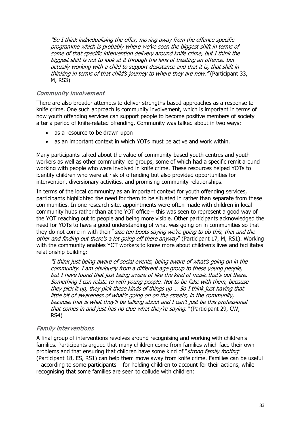"So I think individualising the offer, moving away from the offence specific programme which is probably where we've seen the biggest shift in terms of some of that specific intervention delivery around knife crime, but I think the biggest shift is not to look at it through the lens of treating an offence, but actually working with a child to support desistance and that it is, that shift in thinking in terms of that child's journey to where they are now." (Participant 33, M, RS3)

### Community involvement

There are also broader attempts to deliver strengths-based approaches as a response to knife crime. One such approach is community involvement, which is important in terms of how youth offending services can support people to become positive members of society after a period of knife-related offending. Community was talked about in two ways:

- as a resource to be drawn upon
- as an important context in which YOTs must be active and work within.

Many participants talked about the value of community-based youth centres and youth workers as well as other community led groups, some of which had a specific remit around working with people who were involved in knife crime. These resources helped YOTs to identify children who were at risk of offending but also provided opportunities for intervention, diversionary activities, and promising community relationships.

In terms of the local community as an important context for youth offending services, participants highlighted the need for them to be situated in rather than separate from these communities. In one research site, appointments were often made with children in local community hubs rather than at the YOT office – this was seen to represent a good way of the YOT reaching out to people and being more visible. Other participants acknowledged the need for YOTs to have a good understanding of what was going on in communities so that they do not come in with their "size ten boots saying we're going to do this, that and the other and finding out there's a lot going off there anyway" (Participant 17, M, RS1). Working with the community enables YOT workers to know more about children's lives and facilitates relationship building:

"I think just being aware of social events, being aware of what's going on in the community. I am obviously from a different age group to these young people, but I have found that just being aware of like the kind of music that's out there. Something I can relate to with young people. Not to be fake with them, because they pick it up, they pick these kinds of things up … So I think just having that little bit of awareness of what's going on on the streets, in the community, because that is what they'll be talking about and I can't just be this professional that comes in and just has no clue what they're saying." (Participant 29, CW, RS4)

### Family interventions

A final group of interventions revolves around recognising and working with children's families. Participants argued that many children come from families which face their own problems and that ensuring that children have some kind of "strong family footing" (Participant 18, ES, RS1) can help them move away from knife crime. Families can be useful  $-$  according to some participants  $-$  for holding children to account for their actions, while recognising that some families are seen to collude with children: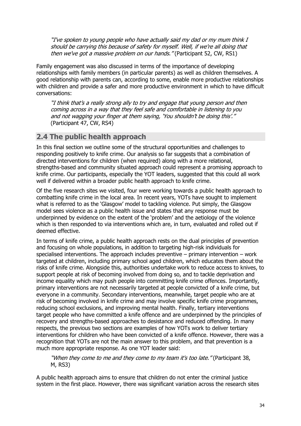"I've spoken to young people who have actually said my dad or my mum think I should be carrying this because of safety for myself. Well, if we're all doing that then we've got a massive problem on our hands." (Participant 52, CW, RS1)

Family engagement was also discussed in terms of the importance of developing relationships with family members (in particular parents) as well as children themselves. A good relationship with parents can, according to some, enable more productive relationships with children and provide a safer and more productive environment in which to have difficult conversations:

"I think that's a really strong ally to try and engage that young person and then coming across in a way that they feel safe and comfortable in listening to you and not wagging your finger at them saying, 'You shouldn't be doing this'." (Participant 47, CW, RS4)

# <span id="page-33-0"></span>**2.4 The public health approach**

In this final section we outline some of the structural opportunities and challenges to responding positively to knife crime. Our analysis so far suggests that a combination of directed interventions for children (when required) along with a more relational, strengths-based and community situated approach could represent a promising approach to knife crime. Our participants, especially the YOT leaders, suggested that this could all work well if delivered within a broader public health approach to knife crime.

Of the five research sites we visited, four were working towards a public health approach to combatting knife crime in the local area. In recent years, YOTs have sought to implement what is referred to as the 'Glasgow' model to tackling violence. Put simply, the Glasgow model sees violence as a public health issue and states that any response must be underpinned by evidence on the extent of the 'problem' and the aetiology of the violence which is then responded to via interventions which are, in turn, evaluated and rolled out if deemed effective.

In terms of knife crime, a public health approach rests on the dual principles of prevention and focusing on whole populations, in addition to targeting high-risk individuals for specialised interventions. The approach includes preventive  $-$  primary intervention  $-$  work targeted at children, including primary school aged children, which educates them about the risks of knife crime. Alongside this, authorities undertake work to reduce access to knives, to support people at risk of becoming involved from doing so, and to tackle deprivation and income equality which may push people into committing knife crime offences. Importantly, primary interventions are not necessarily targeted at people convicted of a knife crime, but everyone in a community. Secondary interventions, meanwhile, target people who are at risk of becoming involved in knife crime and may involve specific knife crime programmes, reducing school exclusions, and improving mental health. Finally, tertiary interventions target people who have committed a knife offence and are underpinned by the principles of recovery and strengths-based approaches to desistance and reduced offending. In many respects, the previous two sections are examples of how YOTs work to deliver tertiary interventions for children who have been convicted of a knife offence. However, there was a recognition that YOTs are not the main answer to this problem, and that prevention is a much more appropriate response. As one YOT leader said:

"When they come to me and they come to my team it's too late." (Participant 38, M, RS3)

A public health approach aims to ensure that children do not enter the criminal justice system in the first place. However, there was significant variation across the research sites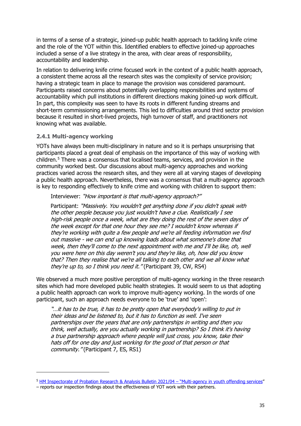in terms of a sense of a strategic, joined-up public health approach to tackling knife crime and the role of the YOT within this. Identified enablers to effective joined-up approaches included a sense of a live strategy in the area, with clear areas of responsibility, accountability and leadership.

In relation to delivering knife crime focused work in the context of a public health approach, a consistent theme across all the research sites was the complexity of service provision; having a strategic team in place to manage the provision was considered paramount. Participants raised concerns about potentially overlapping responsibilities and systems of accountability which pull institutions in different directions making joined-up work difficult. In part, this complexity was seen to have its roots in different funding streams and short-term commissioning arrangements. This led to difficulties around third sector provision because it resulted in short-lived projects, high turnover of staff, and practitioners not knowing what was available.

#### **2.4.1 Multi-agency working**

YOTs have always been multi-disciplinary in nature and so it is perhaps unsurprising that participants placed a great deal of emphasis on the importance of this way of working with children.[5](#page-34-0) There was a consensus that localised teams, services, and provision in the community worked best. Our discussions about multi-agency approaches and working practices varied across the research sites, and they were all at varying stages of developing a public health approach. Nevertheless, there was a consensus that a multi-agency approach is key to responding effectively to knife crime and working with children to support them:

Interviewer: "How important is that multi-agency approach?"

Participant: "Massively. You wouldn't get anything done if you didn't speak with the other people because you just wouldn't have a clue. Realistically I see high-risk people once a week, what are they doing the rest of the seven days of the week except for that one hour they see me? I wouldn't know whereas if they're working with quite a few people and we're all feeding information we find out massive - we can end up knowing loads about what someone's done that week, then they'll come to the next appointment with me and I'll be like, oh, well you were here on this day weren't you and they're like, oh, how did you know that? Then they realise that we're all talking to each other and we all know what they're up to, so I think you need it." (Participant 39, CW, RS4)

We observed a much more positive perception of multi-agency working in the three research sites which had more developed public health strategies. It would seem to us that adopting a public health approach can work to improve multi-agency working. In the words of one participant, such an approach needs everyone to be 'true' and 'open':

"…it has to be true, it has to be pretty open that everybody's willing to put in their ideas and be listened to, but it has to function as well. I've seen partnerships over the years that are only partnerships in writing and then you think, well actually, are you actually working in partnership? So I think it's having a true partnership approach where people will just cross, you know, take their hats off for one day and just working for the good of that person or that community." (Participant 7, ES, RS1)

<span id="page-34-0"></span><sup>&</sup>lt;sup>5</sup> [HM Inspectorate of Probation Research & Analysis Bulletin 2021/04 –](https://www.justiceinspectorates.gov.uk/hmiprobation/wp-content/uploads/sites/5/2021/07/Youth-multi-agency-work-RAB-v1.0-1-1.pdf) "Multi-agency in youth offending services"

<sup>–</sup> reports our inspection findings about the effectiveness of YOT work with their partners.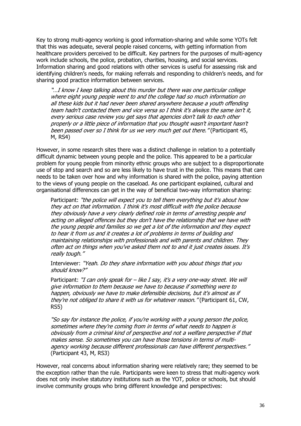Key to strong multi-agency working is good information-sharing and while some YOTs felt that this was adequate, several people raised concerns, with getting information from healthcare providers perceived to be difficult. Key partners for the purposes of multi-agency work include schools, the police, probation, charities, housing, and social services. Information sharing and good relations with other services is useful for assessing risk and identifying children's needs, for making referrals and responding to children's needs, and for sharing good practice information between services.

"…I know I keep talking about this murder but there was one particular college where eight young people went to and the college had so much information on all these kids but it had never been shared anywhere because a youth offending team hadn't contacted them and vice versa so I think it's always the same isn't it, every serious case review you get says that agencies don't talk to each other properly or a little piece of information that you thought wasn't important hasn't been passed over so I think for us we very much get out there." (Participant 45, M, RS4)

However, in some research sites there was a distinct challenge in relation to a potentially difficult dynamic between young people and the police. This appeared to be a particular problem for young people from minority ethnic groups who are subject to a disproportionate use of stop and search and so are less likely to have trust in the police. This means that care needs to be taken over how and why information is shared with the police, paying attention to the views of young people on the caseload. As one participant explained, cultural and organisational differences can get in the way of beneficial two-way information sharing:

Participant: "the police will expect you to tell them everything but it's about how they act on that information. I think it's most difficult with the police because they obviously have a very clearly defined role in terms of arresting people and acting on alleged offences but they don't have the relationship that we have with the young people and families so we get a lot of the information and they expect to hear it from us and it creates a lot of problems in terms of building and maintaining relationships with professionals and with parents and children. They often act on things when you've asked them not to and it just creates issues. It's really tough."

Interviewer: "Yeah. Do they share information with you about things that you should know?"

Participant: "I can only speak for  $-$  like I say, it's a very one-way street. We will give information to them because we have to because if something were to happen, obviously we have to make defensible decisions, but it's almost as if they're not obliged to share it with us for whatever reason." (Participant 61, CW, RS5)

"So say for instance the police, if you're working with a young person the police, sometimes where they're coming from in terms of what needs to happen is obviously from a criminal kind of perspective and not a welfare perspective if that makes sense. So sometimes you can have those tensions in terms of multiagency working because different professionals can have different perspectives." (Participant 43, M, RS3)

However, real concerns about information sharing were relatively rare; they seemed to be the exception rather than the rule. Participants were keen to stress that multi-agency work does not only involve statutory institutions such as the YOT, police or schools, but should involve community groups who bring different knowledge and perspectives: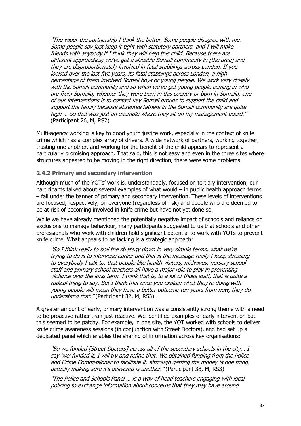"The wider the partnership I think the better. Some people disagree with me. Some people say just keep it tight with statutory partners, and I will make friends with anybody if I think they will help this child. Because there are different approaches; we've got a sizeable Somali community in [the area] and they are disproportionately involved in fatal stabbings across London. If you looked over the last five years, its fatal stabbings across London, a high percentage of them involved Somali boys or young people. We work very closely with the Somali community and so when we've got young people coming in who are from Somalia, whether they were born in this country or born in Somalia, one of our interventions is to contact key Somali groups to support the child and support the family because absentee fathers in the Somali community are quite high … So that was just an example where they sit on my management board." (Participant 26, M, RS2)

Multi-agency working is key to good youth justice work, especially in the context of knife crime which has a complex array of drivers. A wide network of partners, working together, trusting one another, and working for the benefit of the child appears to represent a particularly promising approach. That said, this is not easy and even in the three sites where structures appeared to be moving in the right direction, there were some problems.

#### **2.4.2 Primary and secondary intervention**

Although much of the YOTs' work is, understandably, focused on tertiary intervention, our participants talked about several examples of what would – in public health approach terms – fall under the banner of primary and secondary intervention. These levels of interventions are focused, respectively, on everyone (regardless of risk) and people who are deemed to be at risk of becoming involved in knife crime but have not yet done so.

While we have already mentioned the potentially negative impact of schools and reliance on exclusions to manage behaviour, many participants suggested to us that schools and other professionals who work with children hold significant potential to work with YOTs to prevent knife crime. What appears to be lacking is a strategic approach:

"So I think really to boil the strategy down in very simple terms, what we're trying to do is to intervene earlier and that is the message really I keep stressing to everybody I talk to, that people like health visitors, midwives, nursery school staff and primary school teachers all have a major role to play in preventing violence over the long term. I think that is, to a lot of those staff, that is quite a radical thing to say. But I think that once you explain what they're doing with young people will mean they have a better outcome ten years from now, they do understand that." (Participant 32, M, RS3)

A greater amount of early, primary intervention was a consistently strong theme with a need to be proactive rather than just reactive. We identified examples of early intervention but this seemed to be patchy. For example, in one site, the YOT worked with schools to deliver knife crime awareness sessions (in conjunction with Street Doctors), and had set up a dedicated panel which enables the sharing of information across key organisations:

"So we funded [Street Doctors] across all of the secondary schools in the city… I say 'we' funded it, I will try and refine that. We obtained funding from the Police and Crime Commissioner to facilitate it, although getting the money is one thing, actually making sure it's delivered is another." (Participant 38, M, RS3)

"The Police and Schools Panel … is a way of head teachers engaging with local policing to exchange information about concerns that they may have around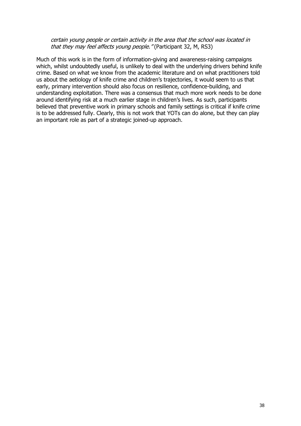#### certain young people or certain activity in the area that the school was located in that they may feel affects young people." (Participant 32, M, RS3)

Much of this work is in the form of information-giving and awareness-raising campaigns which, whilst undoubtedly useful, is unlikely to deal with the underlying drivers behind knife crime. Based on what we know from the academic literature and on what practitioners told us about the aetiology of knife crime and children's trajectories, it would seem to us that early, primary intervention should also focus on resilience, confidence-building, and understanding exploitation. There was a consensus that much more work needs to be done around identifying risk at a much earlier stage in children's lives. As such, participants believed that preventive work in primary schools and family settings is critical if knife crime is to be addressed fully. Clearly, this is not work that YOTs can do alone, but they can play an important role as part of a strategic joined-up approach.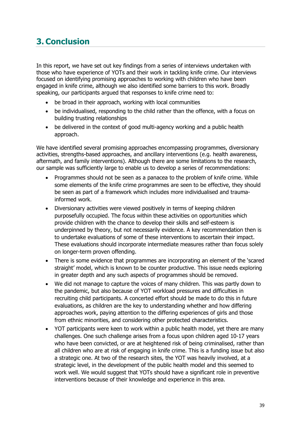# <span id="page-38-0"></span>**3. Conclusion**

In this report, we have set out key findings from a series of interviews undertaken with those who have experience of YOTs and their work in tackling knife crime. Our interviews focused on identifying promising approaches to working with children who have been engaged in knife crime, although we also identified some barriers to this work. Broadly speaking, our participants argued that responses to knife crime need to:

- be broad in their approach, working with local communities
- be individualised, responding to the child rather than the offence, with a focus on building trusting relationships
- be delivered in the context of good multi-agency working and a public health approach.

We have identified several promising approaches encompassing programmes, diversionary activities, strengths-based approaches, and ancillary interventions (e.g. health awareness, aftermath, and family interventions). Although there are some limitations to the research, our sample was sufficiently large to enable us to develop a series of recommendations:

- Programmes should not be seen as a panacea to the problem of knife crime. While some elements of the knife crime programmes are seen to be effective, they should be seen as part of a framework which includes more individualised and traumainformed work.
- Diversionary activities were viewed positively in terms of keeping children purposefully occupied. The focus within these activities on opportunities which provide children with the chance to develop their skills and self-esteem is underpinned by theory, but not necessarily evidence. A key recommendation then is to undertake evaluations of some of these interventions to ascertain their impact. These evaluations should incorporate intermediate measures rather than focus solely on longer-term proven offending.
- There is some evidence that programmes are incorporating an element of the 'scared straight' model, which is known to be counter productive. This issue needs exploring in greater depth and any such aspects of programmes should be removed.
- We did not manage to capture the voices of many children. This was partly down to the pandemic, but also because of YOT workload pressures and difficulties in recruiting child participants. A concerted effort should be made to do this in future evaluations, as children are the key to understanding whether and how differing approaches work, paying attention to the differing experiences of girls and those from ethnic minorities, and considering other protected characteristics.
- YOT participants were keen to work within a public health model, yet there are many challenges. One such challenge arises from a focus upon children aged 10-17 years who have been convicted, or are at heightened risk of being criminalised, rather than all children who are at risk of engaging in knife crime. This is a funding issue but also a strategic one. At two of the research sites, the YOT was heavily involved, at a strategic level, in the development of the public health model and this seemed to work well. We would suggest that YOTs should have a significant role in preventive interventions because of their knowledge and experience in this area.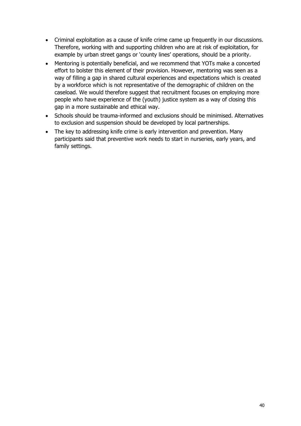- Criminal exploitation as a cause of knife crime came up frequently in our discussions. Therefore, working with and supporting children who are at risk of exploitation, for example by urban street gangs or 'county lines' operations, should be a priority.
- Mentoring is potentially beneficial, and we recommend that YOTs make a concerted effort to bolster this element of their provision. However, mentoring was seen as a way of filling a gap in shared cultural experiences and expectations which is created by a workforce which is not representative of the demographic of children on the caseload. We would therefore suggest that recruitment focuses on employing more people who have experience of the (youth) justice system as a way of closing this gap in a more sustainable and ethical way.
- Schools should be trauma-informed and exclusions should be minimised. Alternatives to exclusion and suspension should be developed by local partnerships.
- The key to addressing knife crime is early intervention and prevention. Many participants said that preventive work needs to start in nurseries, early years, and family settings.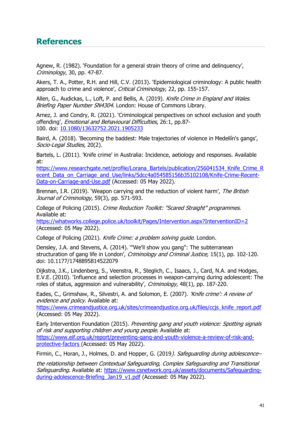# <span id="page-40-0"></span>**References**

Agnew, R. (1982). 'Foundation for a general strain theory of crime and delinquency', Criminology, 30, pp. 47-87.

Akers, T. A., Potter, R.H. and Hill, C.V. (2013). 'Epidemiological criminology: A public health approach to crime and violence', Critical Criminology, 22, pp. 155-157.

Allen, G., Audickas, L., Loft, P. and Bellis, A. (2019). Knife Crime in England and Wales. Briefing Paper Number SN4304. London: House of Commons Library.

Arnez, J. and Condry, R. (2021). 'Criminological perspectives on school exclusion and youth offending', Emotional and Behavioural Difficulties, 26:1, pp.87- 100. doi: [10.1080/13632752.2021.1905233](https://doi.org/10.1080/13632752.2021.1905233)

Baird, A. (2018). 'Becoming the baddest: Male trajectories of violence in Medellín's gangs', Socio-Legal Studies, 20(2).

Bartels, L. (2011). 'Knife crime' in Australia: Incidence, aetiology and responses. Available at:

[https://www.researchgate.net/profile/Lorana\\_Bartels/publication/256041534\\_Knife\\_Crime\\_R](https://www.researchgate.net/profile/Lorana_Bartels/publication/256041534_Knife_Crime_Recent_Data_on_Carriage_and_Use/links/5dcc4a054585156b35102108/Knife-Crime-Recent-Data-on-Carriage-and-Use.pdf) ecent Data\_on\_Carriage\_and\_Use/links/5dcc4a054585156b35102108/Knife-Crime-Recent-[Data-on-Carriage-and-Use.pdf](https://www.researchgate.net/profile/Lorana_Bartels/publication/256041534_Knife_Crime_Recent_Data_on_Carriage_and_Use/links/5dcc4a054585156b35102108/Knife-Crime-Recent-Data-on-Carriage-and-Use.pdf) (Accessed: 05 May 2022).

Brennan, I.R. (2019). 'Weapon carrying and the reduction of violent harm', The British Journal of Criminology, 59(3), pp. 571-593.

College of Policing (2015). Crime Reduction Toolkit: "Scared Straight" programmes. Available at:

<https://whatworks.college.police.uk/toolkit/Pages/Intervention.aspx?InterventionID=2> (Accessed: 05 May 2022).

College of Policing (2021). Knife Crime: a problem solving guide. London.

Densley, J.A. and Stevens, A. (2014). '"We'll show you gang": The subterranean structuration of gang life in London', Criminology and Criminal Justice, 15(1), pp. 102-120. doi: 10.1177/1748895814522079

Dijkstra, J.K., Lindenberg, S., Veenstra, R., Steglich, C., Isaacs, J., Card, N.A. and Hodges, E.V.E. (2010). 'Influence and selection processes in weapon-carrying during adolescent: The roles of status, aggression and vulnerability', Criminology, 48(1), pp. 187-220.

Eades, C., Grimshaw, R., Silvestri, A. and Solomon, E. (2007). 'Knife crime': A review of evidence and policy. Available at:

[https://www.crimeandjustice.org.uk/sites/crimeandjustice.org.uk/files/ccjs\\_knife\\_report.pdf](https://www.crimeandjustice.org.uk/sites/crimeandjustice.org.uk/files/ccjs_knife_report.pdf) (Accessed: 05 May 2022).

Early Intervention Foundation (2015). Preventing gang and youth violence: Spotting signals of risk and supporting children and young people. Available at: [https://www.eif.org.uk/report/preventing-gang-and-youth-violence-a-review-of-risk-and](https://www.eif.org.uk/report/preventing-gang-and-youth-violence-a-review-of-risk-and-protective-factors)[protective-factors](https://www.eif.org.uk/report/preventing-gang-and-youth-violence-a-review-of-risk-and-protective-factors) (Accessed: 05 May 2022).

Firmin, C., Horan, J., Holmes, D. and Hopper, G. (2019). Safeguarding during adolescence-

the relationship between Contextual Safeguarding, Complex Safeguarding and Transitional Safeguarding. Available at: [https://www.csnetwork.org.uk/assets/documents/Safeguarding](https://www.csnetwork.org.uk/assets/documents/Safeguarding-during-adolescence-Briefing_Jan19_v1.pdf)[during-adolescence-Briefing\\_Jan19\\_v1.pdf](https://www.csnetwork.org.uk/assets/documents/Safeguarding-during-adolescence-Briefing_Jan19_v1.pdf) (Accessed: 05 May 2022).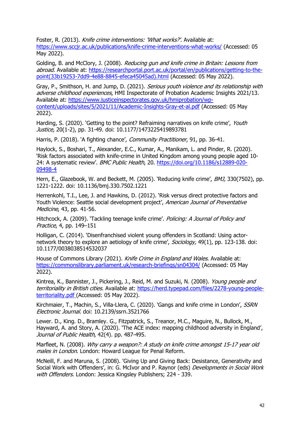Foster, R. (2013). Knife crime interventions: 'What works?'. Available at: <https://www.sccjr.ac.uk/publications/knife-crime-interventions-what-works/> (Accessed: 05 May 2022).

Golding, B. and McClory, J. (2008). Reducing gun and knife crime in Britain: Lessons from abroad. Available at: [https://researchportal.port.ac.uk/portal/en/publications/getting-to-the](https://researchportal.port.ac.uk/portal/en/publications/getting-to-the-point(33b19253-7dd9-4e88-8845-efeca45045ad).html)[point\(33b19253-7dd9-4e88-8845-efeca45045ad\).html](https://researchportal.port.ac.uk/portal/en/publications/getting-to-the-point(33b19253-7dd9-4e88-8845-efeca45045ad).html) (Accessed: 05 May 2022).

Gray, P., Smithson, H. and Jump, D. (2021). Serious youth violence and its relationship with adverse childhood experiences, HMI Inspectorate of Probation Academic Insights 2021/13. Available at: [https://www.justiceinspectorates.gov.uk/hmiprobation/wp](https://www.justiceinspectorates.gov.uk/hmiprobation/wp-content/uploads/sites/5/2021/11/Academic-Insights-Gray-et-al.pdf)[content/uploads/sites/5/2021/11/Academic-Insights-Gray-et-al.pdf](https://www.justiceinspectorates.gov.uk/hmiprobation/wp-content/uploads/sites/5/2021/11/Academic-Insights-Gray-et-al.pdf) (Accessed: 05 May 2022).

Harding, S. (2020). 'Getting to the point? Refraiming narratives on knife crime', Youth Justice, 20(1-2), pp. 31-49. doi: 10.1177/1473225419893781

Harris, P. (2018). 'A fighting chance', *Community Practitioner*, 91, pp. 36-41.

Haylock, S., Boshari, T., Alexander, E.C., Kumar, A., Manikam, L. and Pinder, R. (2020). 'Risk factors associated with knife-crime in United Kingdom among young people aged 10 24: A systematic review'. BMC Public Health, 20. [https://doi.org/10.1186/s12889-020-](https://doi.org/10.1186/s12889-020-09498-4) [09498-4](https://doi.org/10.1186/s12889-020-09498-4)

Hern, E., Glazebook, W. and Beckett, M. (2005). 'Reducing knife crime', BMJ, 330(7502), pp. 1221-1222. doi: 10.1136/bmj.330.7502.1221

Herrenkohl, T.I., Lee, J. and Hawkins, D. (2012). 'Risk versus direct protective factors and Youth Violence: Seattle social development project', American Journal of Preventative Medicine, 43, pp. 41-56.

Hitchcock, A. (2009). 'Tackling teenage knife crime'. *Policing: A Journal of Policy and* Practice, 4, pp. 149–151

Holligan, C. (2014). 'Disenfranchised violent young offenders in Scotland: Using actornetwork theory to explore an aetiology of knife crime', Sociology, 49(1), pp. 123-138. doi: 10.1177/0038038514532037

House of Commons Library (2021). Knife Crime in England and Wales. Available at: <https://commonslibrary.parliament.uk/research-briefings/sn04304/> (Accessed: 05 May 2022).

Kintrea, K., Bannister, J., Pickering, J., Reid, M. and Suzuki, N. (2008). Young people and territoriality in British cities. Available at: [https://herd.typepad.com/files/2278-young-people](https://herd.typepad.com/files/2278-young-people-territoriality.pdf)[territoriality.pdf](https://herd.typepad.com/files/2278-young-people-territoriality.pdf) (Accessed: 05 May 2022).

Kirchmaier, T., Machin, S., Villa-Llera, C. (2020). 'Gangs and knife crime in London', SSRN Electronic Journal. doi: 10.2139/ssrn.3521766

Lewer. D., King. D., Bramley. G., Fitzpatrick, S., Treanor, M.C., Maguire, N., Bullock, M., Hayward, A. and Story, A. (2020). 'The ACE index: mapping childhood adversity in England', Journal of Public Health, 42(4). pp. 487-495.

Marfleet, N. (2008). Why carry a weapon?: A study on knife crime amongst 15-17 year old males in London. London: Howard League for Penal Reform.

McNeill, F. and Maruna, S. (2008). 'Giving Up and Giving Back: Desistance, Generativity and Social Work with Offenders', in: G. McIvor and P. Raynor (eds) Developments in Social Work with Offenders. London: Jessica Kingsley Publishers: 224 - 339.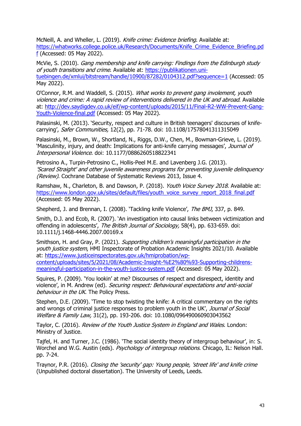McNeill, A. and Wheller, L. (2019). Knife crime: Evidence briefing. Available at: [https://whatworks.college.police.uk/Research/Documents/Knife\\_Crime\\_Evidence\\_Briefing.pd](https://whatworks.college.police.uk/Research/Documents/Knife_Crime_Evidence_Briefing.pdf) [f](https://whatworks.college.police.uk/Research/Documents/Knife_Crime_Evidence_Briefing.pdf) (Accessed: 05 May 2022).

McVie, S. (2010). Gang membership and knife carrying: Findings from the Edinburgh study of vouth transitions and crime. Available at: [https://publikationen.uni](https://publikationen.uni-tuebingen.de/xmlui/bitstream/handle/10900/87282/0104312.pdf?sequence=1)[tuebingen.de/xmlui/bitstream/handle/10900/87282/0104312.pdf?sequence=1](https://publikationen.uni-tuebingen.de/xmlui/bitstream/handle/10900/87282/0104312.pdf?sequence=1) (Accessed: 05 May 2022).

O'Connor, R.M. and Waddell, S. (2015). What works to prevent gang involement, youth violence and crime: A rapid review of interventions delivered in the UK and abroad. Available at: [http://dev.saydigdev.co.uk/eif/wp-content/uploads/2015/11/Final-R2-WW-Prevent-Gang-](http://dev.saydigdev.co.uk/eif/wp-content/uploads/2015/11/Final-R2-WW-Prevent-Gang-Youth-Violence-final.pdf)[Youth-Violence-final.pdf](http://dev.saydigdev.co.uk/eif/wp-content/uploads/2015/11/Final-R2-WW-Prevent-Gang-Youth-Violence-final.pdf) (Accessed: 05 May 2022).

Palasinski, M. (2013). 'Security, respect and culture in British teenagers' discourses of knifecarrying', Safer Communities, 12(2), pp. 71-78. doi: 10.1108/17578041311315049

Palasinski, M., Brown, W., Shortland, N., Riggs, D.W., Chen, M., Bowman-Grieve, L. (2019). 'Masculinity, injury, and death: Implications for anti-knife carrying messages', Journal of Interpersonal Violence. doi: 10.1177/0886260518822341

Petrosino A., Turpin-Petrosino C., Hollis-Peel M.E. and Lavenberg J.G. (2013). 'Scared Straight' and other juvenile awareness programs for preventing juvenile delinquency (Review). Cochrane Database of Systematic Reviews 2013, Issue 4.

Ramshaw, N., Charleton, B. and Dawson, P. (2018). Youth Voice Survey 2018. Available at: [https://www.london.gov.uk/sites/default/files/youth\\_voice\\_survey\\_report\\_2018\\_final.pdf](https://www.london.gov.uk/sites/default/files/youth_voice_survey_report_2018_final.pdf) (Accessed: 05 May 2022).

Shepherd, J. and Brennan, I. (2008). 'Tackling knife Violence', The BMJ, 337, p. 849.

Smith, D.J. and Ecob, R. (2007). 'An investigation into causal links between victimization and offending in adolescents', The British Journal of Sociology, 58(4), pp. 633-659. doi: 10.1111/j.1468-4446.2007.00169.x

Smithson, H. and Gray, P. (2021). Supporting children's meaningful participation in the youth justice system, HMI Inspectorate of Probation Academic Insights 2021/10. Available at: [https://www.justiceinspectorates.gov.uk/hmiprobation/wp](https://www.justiceinspectorates.gov.uk/hmiprobation/wp-content/uploads/sites/5/2021/08/Academic-Insight-%E2%80%93-Supporting-childrens-meaningful-participation-in-the-youth-justice-system.pdf)[content/uploads/sites/5/2021/08/Academic-Insight-%E2%80%93-Supporting-childrens](https://www.justiceinspectorates.gov.uk/hmiprobation/wp-content/uploads/sites/5/2021/08/Academic-Insight-%E2%80%93-Supporting-childrens-meaningful-participation-in-the-youth-justice-system.pdf)[meaningful-participation-in-the-youth-justice-system.pdf](https://www.justiceinspectorates.gov.uk/hmiprobation/wp-content/uploads/sites/5/2021/08/Academic-Insight-%E2%80%93-Supporting-childrens-meaningful-participation-in-the-youth-justice-system.pdf) (Accessed: 05 May 2022).

Squires, P. (2009). 'You lookin' at me? Discourses of respect and disrespect, identity and violence', in M. Andrew (ed). Securing respect: Behavioural expectations and anti-social behaviour in the UK. The Policy Press.

Stephen, D.E. (2009). 'Time to stop twisting the knife: A critical commentary on the rights and wrongs of criminal justice responses to problem youth in the UK', Journal of Social Welfare & Family Law, 31(2), pp. 193-206. doi: 10.1080/096490060903043562

Taylor, C. (2016). Review of the Youth Justice System in England and Wales. London: Ministry of Justice.

Tajfel, H. and Turner, J.C. (1986). 'The social identity theory of intergroup behaviour', in: S. Worchel and W.G. Austin (eds). *Psychology of intergroup relations*. Chicago, IL: Nelson Hall. pp. 7-24.

Traynor, P.R. (2016). Closing the 'security' gap: Young people, 'street life' and knife crime (Unpublished doctoral dissertation). The University of Leeds, Leeds.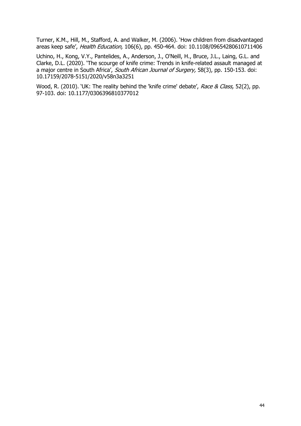Turner, K.M., Hill, M., Stafford, A. and Walker, M. (2006). 'How children from disadvantaged areas keep safe', Health Education, 106(6), pp. 450-464. doi: 10.1108/09654280610711406

Uchino, H., Kong, V.Y., Pantelides, A., Anderson, J., O'Neill, H., Bruce, J.L., Laing, G.L. and Clarke, D.L. (2020). 'The scourge of knife crime: Trends in knife-related assault managed at a major centre in South Africa', South African Journal of Surgery, 58(3), pp. 150-153. doi: 10.17159/2078-5151/2020/v58n3a3251

Wood, R. (2010). 'UK: The reality behind the 'knife crime' debate', Race & Class, 52(2), pp. 97-103. doi: 10.1177/0306396810377012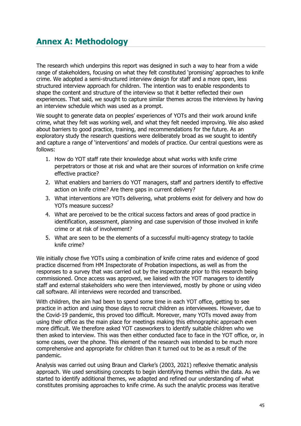<span id="page-44-0"></span>The research which underpins this report was designed in such a way to hear from a wide range of stakeholders, focusing on what they felt constituted 'promising' approaches to knife crime. We adopted a semi-structured interview design for staff and a more open, less structured interview approach for children. The intention was to enable respondents to shape the content and structure of the interview so that it better reflected their own experiences. That said, we sought to capture similar themes across the interviews by having an interview schedule which was used as a prompt.

We sought to generate data on peoples' experiences of YOTs and their work around knife crime, what they felt was working well, and what they felt needed improving. We also asked about barriers to good practice, training, and recommendations for the future. As an exploratory study the research questions were deliberately broad as we sought to identify and capture a range of 'interventions' and models of practice. Our central questions were as follows:

- 1. How do YOT staff rate their knowledge about what works with knife crime perpetrators or those at risk and what are their sources of information on knife crime effective practice?
- 2. What enablers and barriers do YOT managers, staff and partners identify to effective action on knife crime? Are there gaps in current delivery?
- 3. What interventions are YOTs delivering, what problems exist for delivery and how do YOTs measure success?
- 4. What are perceived to be the critical success factors and areas of good practice in identification, assessment, planning and case supervision of those involved in knife crime or at risk of involvement?
- 5. What are seen to be the elements of a successful multi-agency strategy to tackle knife crime?

We initially chose five YOTs using a combination of knife crime rates and evidence of good practice discerned from HM Inspectorate of Probation inspections, as well as from the responses to a survey that was carried out by the inspectorate prior to this research being commissioned. Once access was approved, we liaised with the YOT managers to identify staff and external stakeholders who were then interviewed, mostly by phone or using video call software. All interviews were recorded and transcribed.

With children, the aim had been to spend some time in each YOT office, getting to see practice in action and using those days to recruit children as interviewees. However, due to the Covid-19 pandemic, this proved too difficult. Moreover, many YOTs moved away from using their office as the main place for meetings making this ethnographic approach even more difficult. We therefore asked YOT caseworkers to identify suitable children who we then asked to interview. This was then either conducted face to face in the YOT office, or, in some cases, over the phone. This element of the research was intended to be much more comprehensive and appropriate for children than it turned out to be as a result of the pandemic.

Analysis was carried out using Braun and Clarke's (2003, 2021) reflexive thematic analysis approach. We used sensitising concepts to begin identifying themes within the data. As we started to identify additional themes, we adapted and refined our understanding of what constitutes promising approaches to knife crime. As such the analytic process was iterative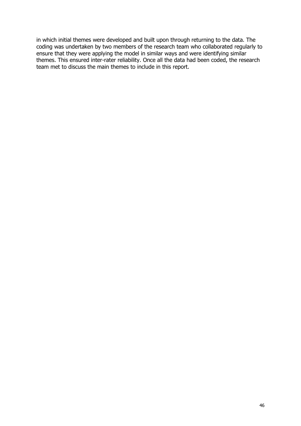in which initial themes were developed and built upon through returning to the data. The coding was undertaken by two members of the research team who collaborated regularly to ensure that they were applying the model in similar ways and were identifying similar themes. This ensured inter-rater reliability. Once all the data had been coded, the research team met to discuss the main themes to include in this report.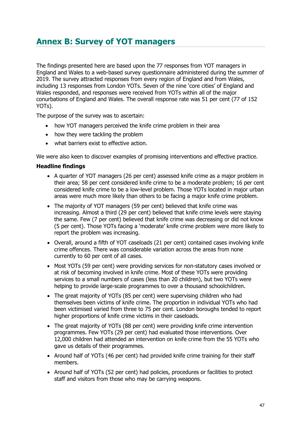# <span id="page-46-0"></span>**[Annex B: Survey of YOT](#page-46-0) managers**

The findings presented here are based upon the 77 responses from YOT managers in England and Wales to a web-based survey questionnaire administered during the summer of 2019. The survey attracted responses from every region of England and from Wales, including 13 responses from London YOTs. Seven of the nine 'core cities' of England and Wales responded, and responses were received from YOTs within all of the major conurbations of England and Wales. The overall response rate was 51 per cent (77 of 152 YOTs).

The purpose of the survey was to ascertain:

- how YOT managers perceived the knife crime problem in their area
- how they were tackling the problem
- what barriers exist to effective action.

We were also keen to discover examples of promising interventions and effective practice.

#### **Headline findings**

- A quarter of YOT managers (26 per cent) assessed knife crime as a major problem in their area; 58 per cent considered knife crime to be a moderate problem; 16 per cent considered knife crime to be a low-level problem. Those YOTs located in major urban areas were much more likely than others to be facing a major knife crime problem.
- The majority of YOT managers (59 per cent) believed that knife crime was increasing. Almost a third (29 per cent) believed that knife crime levels were staying the same. Few (7 per cent) believed that knife crime was decreasing or did not know (5 per cent). Those YOTs facing a 'moderate' knife crime problem were more likely to report the problem was increasing.
- Overall, around a fifth of YOT caseloads (21 per cent) contained cases involving knife crime offences. There was considerable variation across the areas from none currently to 60 per cent of all cases.
- Most YOTs (59 per cent) were providing services for non-statutory cases involved or at risk of becoming involved in knife crime. Most of these YOTs were providing services to a small numbers of cases (less than 20 children), but two YOTs were helping to provide large-scale programmes to over a thousand schoolchildren.
- The great majority of YOTs (85 per cent) were supervising children who had themselves been victims of knife crime. The proportion in individual YOTs who had been victimised varied from three to 75 per cent. London boroughs tended to report higher proportions of knife crime victims in their caseloads.
- The great majority of YOTs (88 per cent) were providing knife crime intervention programmes. Few YOTs (29 per cent) had evaluated those interventions. Over 12,000 children had attended an intervention on knife crime from the 55 YOTs who gave us details of their programmes.
- Around half of YOTs (46 per cent) had provided knife crime training for their staff members.
- Around half of YOTs (52 per cent) had policies, procedures or facilities to protect staff and visitors from those who may be carrying weapons.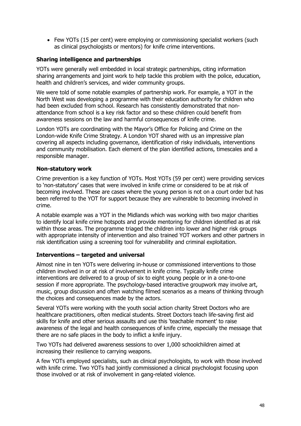• Few YOTs (15 per cent) were employing or commissioning specialist workers (such as clinical psychologists or mentors) for knife crime interventions.

## **Sharing intelligence and partnerships**

YOTs were generally well embedded in local strategic partnerships, citing information sharing arrangements and joint work to help tackle this problem with the police, education, health and children's services, and wider community groups.

We were told of some notable examples of partnership work. For example, a YOT in the North West was developing a programme with their education authority for children who had been excluded from school. Research has consistently demonstrated that nonattendance from school is a key risk factor and so these children could benefit from awareness sessions on the law and harmful consequences of knife crime.

London YOTs are coordinating with the Mayor's Office for Policing and Crime on the London-wide Knife Crime Strategy. A London YOT shared with us an impressive plan covering all aspects including governance, identification of risky individuals, interventions and community mobilisation. Each element of the plan identified actions, timescales and a responsible manager.

### **Non-statutory work**

Crime prevention is a key function of YOTs. Most YOTs (59 per cent) were providing services to 'non-statutory' cases that were involved in knife crime or considered to be at risk of becoming involved. These are cases where the young person is not on a court order but has been referred to the YOT for support because they are vulnerable to becoming involved in crime.

A notable example was a YOT in the Midlands which was working with two major charities to identify local knife crime hotspots and provide mentoring for children identified as at risk within those areas. The programme triaged the children into lower and higher risk groups with appropriate intensity of intervention and also trained YOT workers and other partners in risk identification using a screening tool for vulnerability and criminal exploitation.

### **Interventions – targeted and universal**

Almost nine in ten YOTs were delivering in-house or commissioned interventions to those children involved in or at risk of involvement in knife crime. Typically knife crime interventions are delivered to a group of six to eight young people or in a one-to-one session if more appropriate. The psychology-based interactive groupwork may involve art, music, group discussion and often watching filmed scenarios as a means of thinking through the choices and consequences made by the actors.

Several YOTs were working with the youth social action charity Street Doctors who are healthcare practitioners, often medical students. Street Doctors teach life-saving first aid skills for knife and other serious assaults and use this 'teachable moment' to raise awareness of the legal and health consequences of knife crime, especially the message that there are no safe places in the body to inflict a knife injury.

Two YOTs had delivered awareness sessions to over 1,000 schoolchildren aimed at increasing their resilience to carrying weapons.

A few YOTs employed specialists, such as clinical psychologists, to work with those involved with knife crime. Two YOTs had jointly commissioned a clinical psychologist focusing upon those involved or at risk of involvement in gang-related violence.